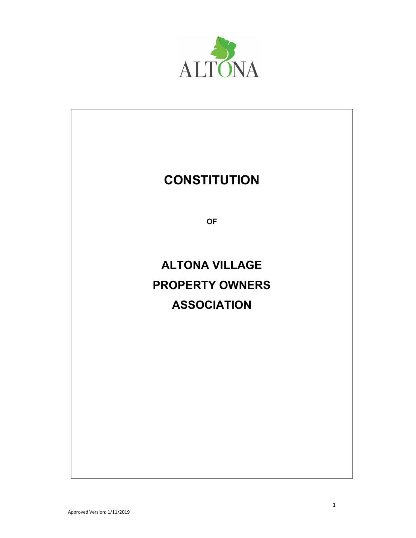

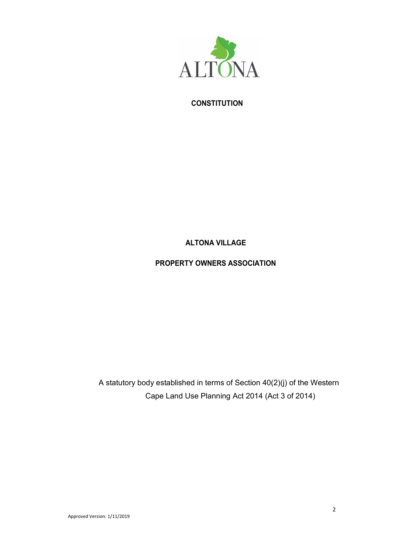

## **CONSTITUTION**

# ALTONA VILLAGE

## PROPERTY OWNERS ASSOCIATION

A statutory body established in terms of Section 40(2)(j) of the Western Cape Land Use Planning Act 2014 (Act 3 of 2014)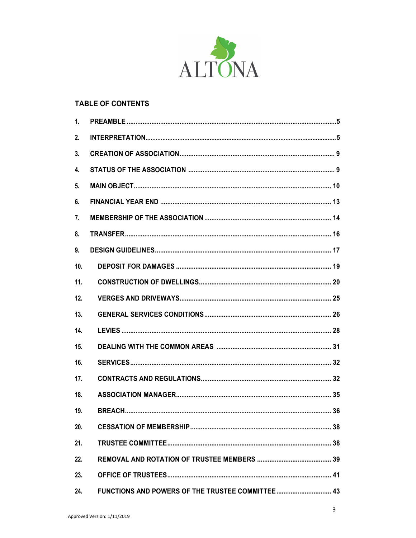

## **TABLE OF CONTENTS**

| 1.  |  |
|-----|--|
| 2.  |  |
| 3.  |  |
| 4.  |  |
| 5.  |  |
| 6.  |  |
| 7.  |  |
| 8.  |  |
| 9.  |  |
| 10. |  |
| 11. |  |
| 12. |  |
| 13. |  |
| 14. |  |
| 15. |  |
| 16. |  |
| 17. |  |
| 18. |  |
| 19. |  |
| 20. |  |
| 21. |  |
| 22. |  |
| 23. |  |
| 24. |  |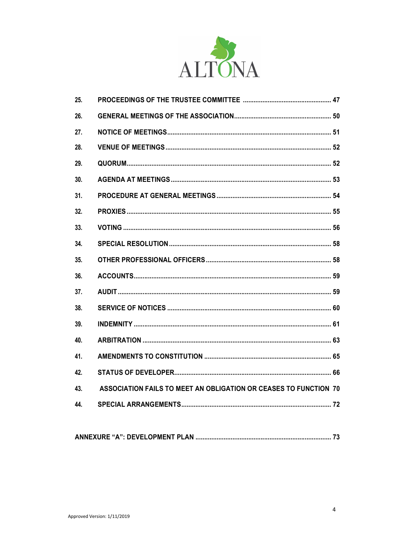

| 25. |                                                                  |
|-----|------------------------------------------------------------------|
| 26. |                                                                  |
| 27. |                                                                  |
| 28. |                                                                  |
| 29. |                                                                  |
| 30. |                                                                  |
| 31. |                                                                  |
| 32. |                                                                  |
| 33. |                                                                  |
| 34. |                                                                  |
| 35. |                                                                  |
| 36. |                                                                  |
| 37. |                                                                  |
| 38. |                                                                  |
| 39. |                                                                  |
| 40. |                                                                  |
| 41. |                                                                  |
| 42. |                                                                  |
| 43. | ASSOCIATION FAILS TO MEET AN OBLIGATION OR CEASES TO FUNCTION 70 |
| 44. |                                                                  |
|     |                                                                  |

|--|--|--|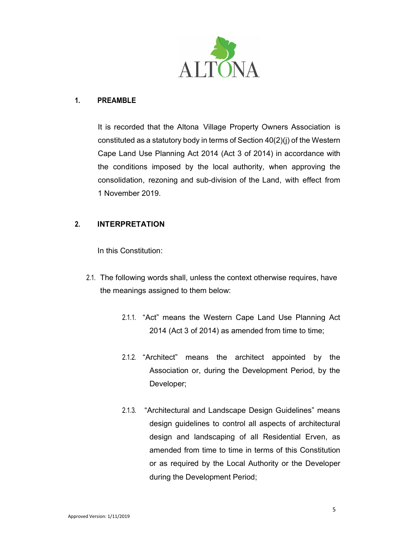

#### 1. PREAMBLE

It is recorded that the Altona Village Property Owners Association is constituted as a statutory body in terms of Section 40(2)(j) of the Western Cape Land Use Planning Act 2014 (Act 3 of 2014) in accordance with the conditions imposed by the local authority, when approving the consolidation, rezoning and sub-division of the Land, with effect from 1 November 2019.

## 2. INTERPRETATION

In this Constitution:

- 2.1. The following words shall, unless the context otherwise requires, have the meanings assigned to them below:
	- 2.1.1. "Act" means the Western Cape Land Use Planning Act 2014 (Act 3 of 2014) as amended from time to time;
	- 2.1.2. "Architect" means the architect appointed by the Association or, during the Development Period, by the Developer;
	- 2.1.3. "Architectural and Landscape Design Guidelines" means design guidelines to control all aspects of architectural design and landscaping of all Residential Erven, as amended from time to time in terms of this Constitution or as required by the Local Authority or the Developer during the Development Period;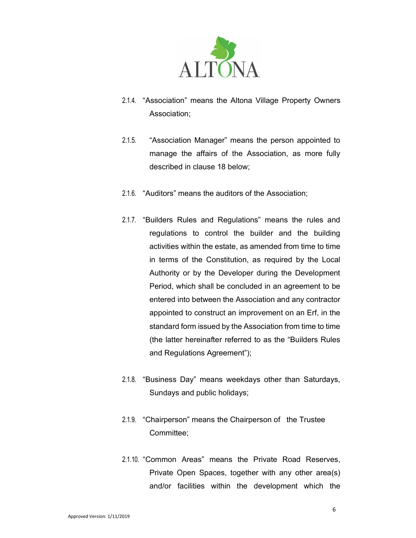

- 2.1.4. "Association" means the Altona Village Property Owners Association;
- 2.1.5. "Association Manager" means the person appointed to manage the affairs of the Association, as more fully described in clause 18 below;
- 2.1.6. "Auditors" means the auditors of the Association;
- 2.1.7. "Builders Rules and Regulations" means the rules and regulations to control the builder and the building activities within the estate, as amended from time to time in terms of the Constitution, as required by the Local Authority or by the Developer during the Development Period, which shall be concluded in an agreement to be entered into between the Association and any contractor appointed to construct an improvement on an Erf, in the standard form issued by the Association from time to time (the latter hereinafter referred to as the "Builders Rules and Regulations Agreement");
- 2.1.8. "Business Day" means weekdays other than Saturdays, Sundays and public holidays;
- 2.1.9. "Chairperson" means the Chairperson of the Trustee Committee;
- 2.1.10. "Common Areas" means the Private Road Reserves, Private Open Spaces, together with any other area(s) and/or facilities within the development which the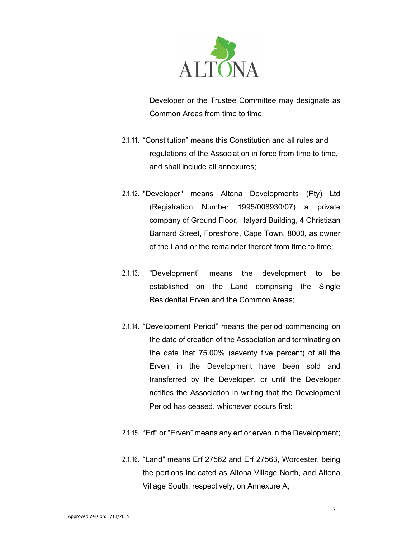

Developer or the Trustee Committee may designate as Common Areas from time to time:

- 2.1.11. "Constitution" means this Constitution and all rules and regulations of the Association in force from time to time, and shall include all annexures;
- 2.1.12. "Developer" means Altona Developments (Pty) Ltd (Registration Number 1995/008930/07) a private company of Ground Floor, Halyard Building, 4 Christiaan Barnard Street, Foreshore, Cape Town, 8000, as owner of the Land or the remainder thereof from time to time;
- 2.1.13. "Development" means the development to be established on the Land comprising the Single Residential Erven and the Common Areas;
- 2.1.14. "Development Period" means the period commencing on the date of creation of the Association and terminating on the date that 75.00% (seventy five percent) of all the Erven in the Development have been sold and transferred by the Developer, or until the Developer notifies the Association in writing that the Development Period has ceased, whichever occurs first;
- 2.1.15. "Erf" or "Erven" means any erf or erven in the Development;
- 2.1.16. "Land" means Erf 27562 and Erf 27563, Worcester, being the portions indicated as Altona Village North, and Altona Village South, respectively, on Annexure A;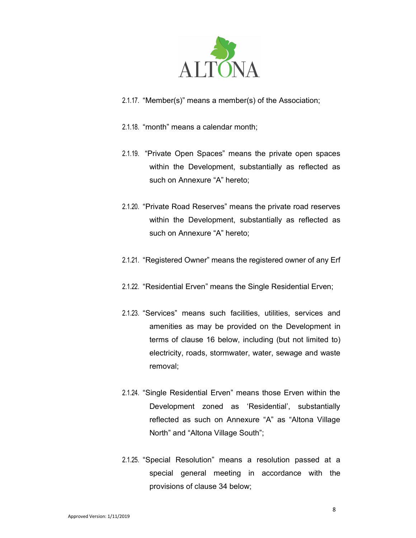

- 2.1.17. "Member(s)" means a member(s) of the Association;
- 2.1.18. "month" means a calendar month;
- 2.1.19. "Private Open Spaces" means the private open spaces within the Development, substantially as reflected as such on Annexure "A" hereto;
- 2.1.20. "Private Road Reserves" means the private road reserves within the Development, substantially as reflected as such on Annexure "A" hereto;
- 2.1.21. "Registered Owner" means the registered owner of any Erf
- 2.1.22. "Residential Erven" means the Single Residential Erven;
- 2.1.23. "Services" means such facilities, utilities, services and amenities as may be provided on the Development in terms of clause 16 below, including (but not limited to) electricity, roads, stormwater, water, sewage and waste removal;
- 2.1.24. "Single Residential Erven" means those Erven within the Development zoned as 'Residential', substantially reflected as such on Annexure "A" as "Altona Village North" and "Altona Village South";
- 2.1.25. "Special Resolution" means a resolution passed at a special general meeting in accordance with the provisions of clause 34 below;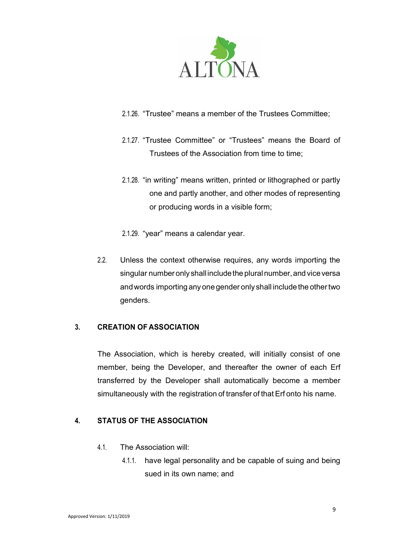

- 2.1.26. "Trustee" means a member of the Trustees Committee;
- 2.1.27. "Trustee Committee" or "Trustees" means the Board of Trustees of the Association from time to time;
- 2.1.28. "in writing" means written, printed or lithographed or partly one and partly another, and other modes of representing or producing words in a visible form;
- 2.1.29. "year" means a calendar year.
- 2.2. Unless the context otherwise requires, any words importing the singular number only shall include the plural number, and vice versa and words importing any one gender only shall include the other two genders.

## 3. CREATION OF ASSOCIATION

The Association, which is hereby created, will initially consist of one member, being the Developer, and thereafter the owner of each Erf transferred by the Developer shall automatically become a member simultaneously with the registration of transfer of that Erf onto his name.

## 4. STATUS OF THE ASSOCIATION

- 4.1. The Association will:
	- 4.1.1. have legal personality and be capable of suing and being sued in its own name; and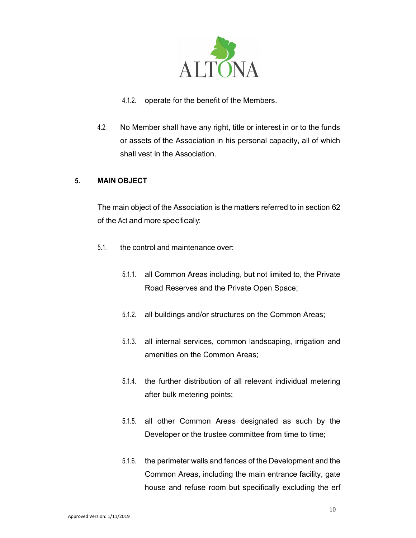

- 4.1.2. operate for the benefit of the Members.
- 4.2. No Member shall have any right, title or interest in or to the funds or assets of the Association in his personal capacity, all of which shall vest in the Association.

## 5. MAIN OBJECT

The main object of the Association is the matters referred to in section 62 of the Act and more specifically:

- 5.1. the control and maintenance over:
	- 5.1.1. all Common Areas including, but not limited to, the Private Road Reserves and the Private Open Space;
	- 5.1.2. all buildings and/or structures on the Common Areas;
	- 5.1.3. all internal services, common landscaping, irrigation and amenities on the Common Areas;
	- 5.1.4. the further distribution of all relevant individual metering after bulk metering points;
	- 5.1.5. all other Common Areas designated as such by the Developer or the trustee committee from time to time;
	- 5.1.6. the perimeter walls and fences of the Development and the Common Areas, including the main entrance facility, gate house and refuse room but specifically excluding the erf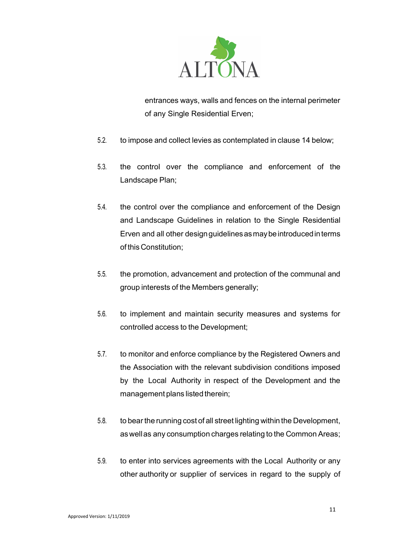

entrances ways, walls and fences on the internal perimeter of any Single Residential Erven;

- 5.2. to impose and collect levies as contemplated in clause 14 below;
- 5.3. the control over the compliance and enforcement of the Landscape Plan;
- 5.4. the control over the compliance and enforcement of the Design and Landscape Guidelines in relation to the Single Residential Erven and all other design guidelines as may be introduced in terms of this Constitution;
- 5.5. the promotion, advancement and protection of the communal and group interests of the Members generally;
- 5.6. to implement and maintain security measures and systems for controlled access to the Development;
- 5.7. to monitor and enforce compliance by the Registered Owners and the Association with the relevant subdivision conditions imposed by the Local Authority in respect of the Development and the management plans listed therein;
- 5.8. to bear the running cost of all street lighting within the Development, as well as any consumption charges relating to the Common Areas;
- 5.9. to enter into services agreements with the Local Authority or any other authority or supplier of services in regard to the supply of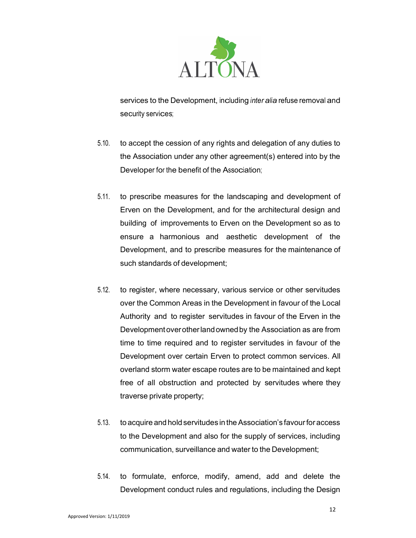

services to the Development, including inter alia refuse removal and security services;

- 5.10. to accept the cession of any rights and delegation of any duties to the Association under any other agreement(s) entered into by the Developer for the benefit of the Association;
- 5.11. to prescribe measures for the landscaping and development of Erven on the Development, and for the architectural design and building of improvements to Erven on the Development so as to ensure a harmonious and aesthetic development of the Development, and to prescribe measures for the maintenance of such standards of development;
- 5.12. to register, where necessary, various service or other servitudes over the Common Areas in the Development in favour of the Local Authority and to register servitudes in favour of the Erven in the Development over other land owned by the Association as are from time to time required and to register servitudes in favour of the Development over certain Erven to protect common services. All overland storm water escape routes are to be maintained and kept free of all obstruction and protected by servitudes where they traverse private property;
- 5.13. to acquire and hold servitudes in the Association's favour for access to the Development and also for the supply of services, including communication, surveillance and water to the Development;
- 5.14. to formulate, enforce, modify, amend, add and delete the Development conduct rules and regulations, including the Design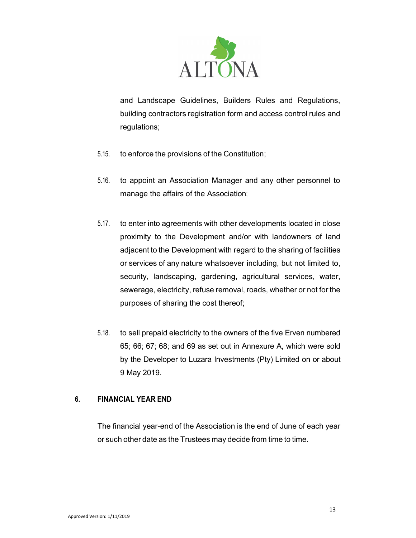

and Landscape Guidelines, Builders Rules and Regulations, building contractors registration form and access control rules and regulations;

- 5.15. to enforce the provisions of the Constitution;
- 5.16. to appoint an Association Manager and any other personnel to manage the affairs of the Association;
- 5.17. to enter into agreements with other developments located in close proximity to the Development and/or with landowners of land adjacent to the Development with regard to the sharing of facilities or services of any nature whatsoever including, but not limited to, security, landscaping, gardening, agricultural services, water, sewerage, electricity, refuse removal, roads, whether or not for the purposes of sharing the cost thereof;
- 5.18. to sell prepaid electricity to the owners of the five Erven numbered 65; 66; 67; 68; and 69 as set out in Annexure A, which were sold by the Developer to Luzara Investments (Pty) Limited on or about 9 May 2019.

## 6. FINANCIAL YEAR END

The financial year-end of the Association is the end of June of each year or such other date as the Trustees may decide from time to time.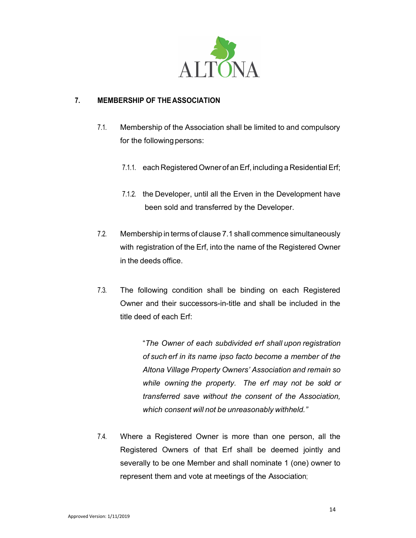

## 7. MEMBERSHIP OF THE ASSOCIATION

- 7.1. Membership of the Association shall be limited to and compulsory for the following persons:
	- 7.1.1. each Registered Owner of an Erf, including a Residential Erf;
	- 7.1.2. the Developer, until all the Erven in the Development have been sold and transferred by the Developer.
- 7.2. Membership in terms of clause 7.1 shall commence simultaneously with registration of the Erf, into the name of the Registered Owner in the deeds office.
- 7.3. The following condition shall be binding on each Registered Owner and their successors-in-title and shall be included in the title deed of each Erf:

"The Owner of each subdivided erf shall upon registration of such erf in its name ipso facto become a member of the Altona Village Property Owners' Association and remain so while owning the property. The erf may not be sold or transferred save without the consent of the Association, which consent will not be unreasonably withheld."

7.4. Where a Registered Owner is more than one person, all the Registered Owners of that Erf shall be deemed jointly and severally to be one Member and shall nominate 1 (one) owner to represent them and vote at meetings of the Association;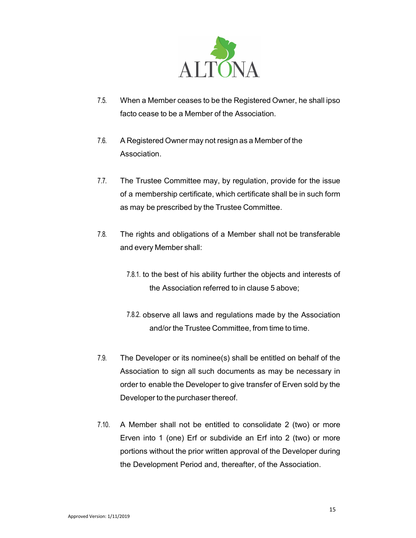

- 7.5. When a Member ceases to be the Registered Owner, he shall ipso facto cease to be a Member of the Association.
- 7.6. A Registered Owner may not resign as a Member of the Association.
- 7.7. The Trustee Committee may, by regulation, provide for the issue of a membership certificate, which certificate shall be in such form as may be prescribed by the Trustee Committee.
- 7.8. The rights and obligations of a Member shall not be transferable and every Member shall:
	- 7.8.1. to the best of his ability further the objects and interests of the Association referred to in clause 5 above;
	- 7.8.2. observe all laws and regulations made by the Association and/or the Trustee Committee, from time to time.
- 7.9. The Developer or its nominee(s) shall be entitled on behalf of the Association to sign all such documents as may be necessary in order to enable the Developer to give transfer of Erven sold by the Developer to the purchaser thereof.
- 7.10. A Member shall not be entitled to consolidate 2 (two) or more Erven into 1 (one) Erf or subdivide an Erf into 2 (two) or more portions without the prior written approval of the Developer during the Development Period and, thereafter, of the Association.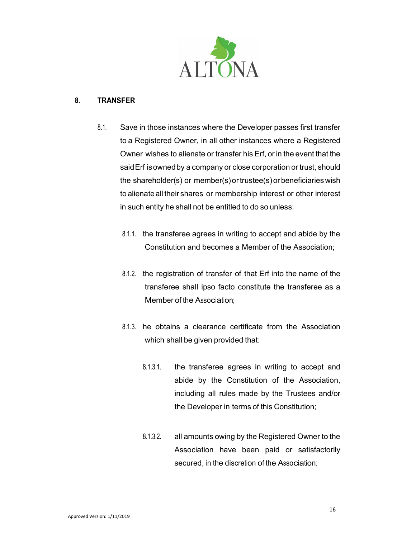

#### 8. TRANSFER

- 8.1. Save in those instances where the Developer passes first transfer to a Registered Owner, in all other instances where a Registered Owner wishes to alienate or transfer his Erf, or in the event that the said Erf is owned by a company or close corporation or trust, should the shareholder(s) or member(s) or trustee(s) or beneficiaries wish to alienate all their shares or membership interest or other interest in such entity he shall not be entitled to do so unless:
	- 8.1.1. the transferee agrees in writing to accept and abide by the Constitution and becomes a Member of the Association;
	- 8.1.2. the registration of transfer of that Erf into the name of the transferee shall ipso facto constitute the transferee as a Member of the Association;
	- 8.1.3. he obtains a clearance certificate from the Association which shall be given provided that:
		- 8.1.3.1. the transferee agrees in writing to accept and abide by the Constitution of the Association, including all rules made by the Trustees and/or the Developer in terms of this Constitution;
		- 8.1.3.2. all amounts owing by the Registered Owner to the Association have been paid or satisfactorily secured, in the discretion of the Association;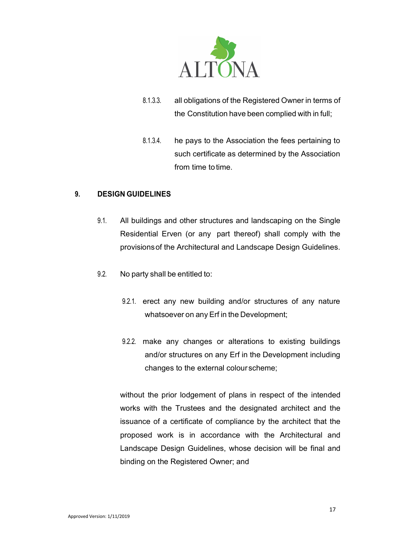

- 8.1.3.3. all obligations of the Registered Owner in terms of the Constitution have been complied with in full;
- 8.1.3.4. he pays to the Association the fees pertaining to such certificate as determined by the Association from time to time.

## 9. DESIGN GUIDELINES

- 9.1. All buildings and other structures and landscaping on the Single Residential Erven (or any part thereof) shall comply with the provisions of the Architectural and Landscape Design Guidelines.
- 9.2. No party shall be entitled to:
	- 9.2.1. erect any new building and/or structures of any nature whatsoever on any Erf in the Development;
	- 9.2.2. make any changes or alterations to existing buildings and/or structures on any Erf in the Development including changes to the external colour scheme;

without the prior lodgement of plans in respect of the intended works with the Trustees and the designated architect and the issuance of a certificate of compliance by the architect that the proposed work is in accordance with the Architectural and Landscape Design Guidelines, whose decision will be final and binding on the Registered Owner; and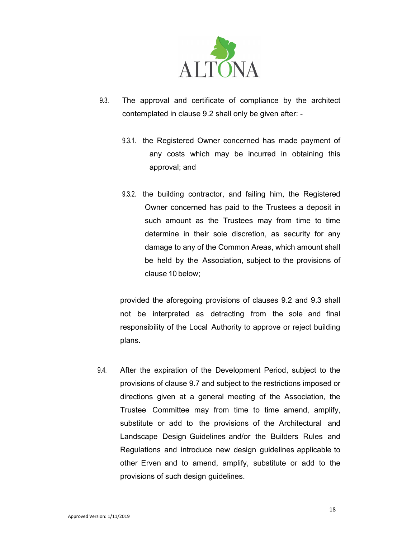

- 9.3. The approval and certificate of compliance by the architect contemplated in clause 9.2 shall only be given after: -
	- 9.3.1. the Registered Owner concerned has made payment of any costs which may be incurred in obtaining this approval; and
	- 9.3.2. the building contractor, and failing him, the Registered Owner concerned has paid to the Trustees a deposit in such amount as the Trustees may from time to time determine in their sole discretion, as security for any damage to any of the Common Areas, which amount shall be held by the Association, subject to the provisions of clause 10 below;

provided the aforegoing provisions of clauses 9.2 and 9.3 shall not be interpreted as detracting from the sole and final responsibility of the Local Authority to approve or reject building plans.

9.4. After the expiration of the Development Period, subject to the provisions of clause 9.7 and subject to the restrictions imposed or directions given at a general meeting of the Association, the Trustee Committee may from time to time amend, amplify, substitute or add to the provisions of the Architectural and Landscape Design Guidelines and/or the Builders Rules and Regulations and introduce new design guidelines applicable to other Erven and to amend, amplify, substitute or add to the provisions of such design guidelines.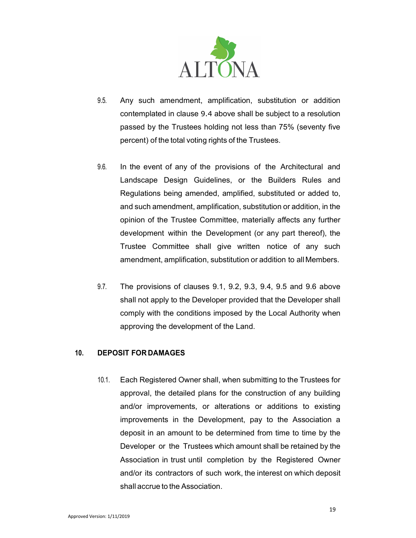

- 9.5. Any such amendment, amplification, substitution or addition contemplated in clause 9.4 above shall be subject to a resolution passed by the Trustees holding not less than 75% (seventy five percent) of the total voting rights of the Trustees.
- 9.6. In the event of any of the provisions of the Architectural and Landscape Design Guidelines, or the Builders Rules and Regulations being amended, amplified, substituted or added to, and such amendment, amplification, substitution or addition, in the opinion of the Trustee Committee, materially affects any further development within the Development (or any part thereof), the Trustee Committee shall give written notice of any such amendment, amplification, substitution or addition to all Members.
- 9.7. The provisions of clauses 9.1, 9.2, 9.3, 9.4, 9.5 and 9.6 above shall not apply to the Developer provided that the Developer shall comply with the conditions imposed by the Local Authority when approving the development of the Land.

#### 10. DEPOSIT FOR DAMAGES

10.1. Each Registered Owner shall, when submitting to the Trustees for approval, the detailed plans for the construction of any building and/or improvements, or alterations or additions to existing improvements in the Development, pay to the Association a deposit in an amount to be determined from time to time by the Developer or the Trustees which amount shall be retained by the Association in trust until completion by the Registered Owner and/or its contractors of such work, the interest on which deposit shall accrue to the Association.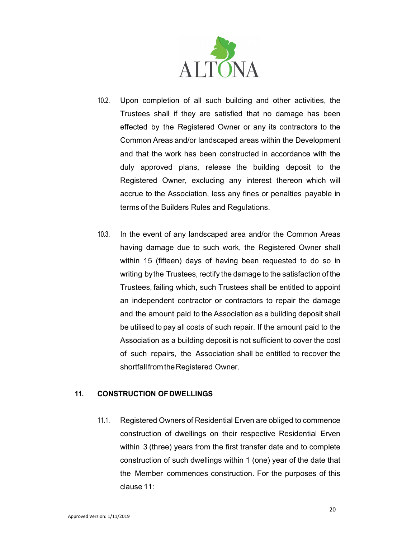

- 10.2. Upon completion of all such building and other activities, the Trustees shall if they are satisfied that no damage has been effected by the Registered Owner or any its contractors to the Common Areas and/or landscaped areas within the Development and that the work has been constructed in accordance with the duly approved plans, release the building deposit to the Registered Owner, excluding any interest thereon which will accrue to the Association, less any fines or penalties payable in terms of the Builders Rules and Regulations.
- 10.3. In the event of any landscaped area and/or the Common Areas having damage due to such work, the Registered Owner shall within 15 (fifteen) days of having been requested to do so in writing by the Trustees, rectify the damage to the satisfaction of the Trustees, failing which, such Trustees shall be entitled to appoint an independent contractor or contractors to repair the damage and the amount paid to the Association as a building deposit shall be utilised to pay all costs of such repair. If the amount paid to the Association as a building deposit is not sufficient to cover the cost of such repairs, the Association shall be entitled to recover the shortfall from the Registered Owner.

## 11. CONSTRUCTION OF DWELLINGS

11.1. Registered Owners of Residential Erven are obliged to commence construction of dwellings on their respective Residential Erven within 3 (three) years from the first transfer date and to complete construction of such dwellings within 1 (one) year of the date that the Member commences construction. For the purposes of this clause 11: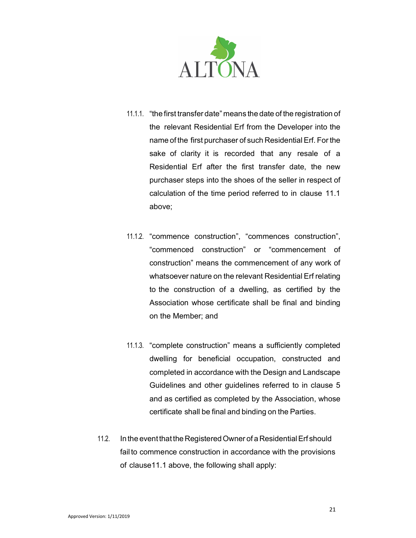

- 11.1.1. "the first transfer date" means the date of the registration of the relevant Residential Erf from the Developer into the name of the first purchaser of such Residential Erf. For the sake of clarity it is recorded that any resale of a Residential Erf after the first transfer date, the new purchaser steps into the shoes of the seller in respect of calculation of the time period referred to in clause 11.1 above;
- 11.1.2. "commence construction", "commences construction", "commenced construction" or "commencement of construction" means the commencement of any work of whatsoever nature on the relevant Residential Erf relating to the construction of a dwelling, as certified by the Association whose certificate shall be final and binding on the Member; and
- 11.1.3. "complete construction" means a sufficiently completed dwelling for beneficial occupation, constructed and completed in accordance with the Design and Landscape Guidelines and other guidelines referred to in clause 5 and as certified as completed by the Association, whose certificate shall be final and binding on the Parties.
- 11.2. In the event that the Registered Owner of a Residential Erf should fail to commence construction in accordance with the provisions of clause11.1 above, the following shall apply: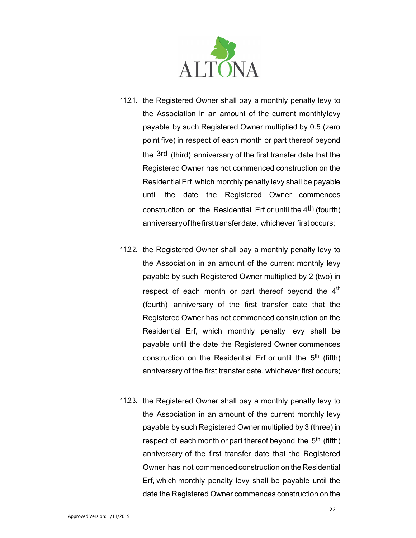

- 11.2.1. the Registered Owner shall pay a monthly penalty levy to the Association in an amount of the current monthly levy payable by such Registered Owner multiplied by 0.5 (zero point five) in respect of each month or part thereof beyond the <sup>3rd</sup> (third) anniversary of the first transfer date that the Registered Owner has not commenced construction on the Residential Erf, which monthly penalty levy shall be payable until the date the Registered Owner commences construction on the Residential Erf or until the 4th (fourth) anniversary of the first transfer date, whichever first occurs;
- 11.2.2. the Registered Owner shall pay a monthly penalty levy to the Association in an amount of the current monthly levy payable by such Registered Owner multiplied by 2 (two) in respect of each month or part thereof beyond the  $4<sup>th</sup>$ (fourth) anniversary of the first transfer date that the Registered Owner has not commenced construction on the Residential Erf, which monthly penalty levy shall be payable until the date the Registered Owner commences construction on the Residential Erf or until the  $5<sup>th</sup>$  (fifth) anniversary of the first transfer date, whichever first occurs;
- 11.2.3. the Registered Owner shall pay a monthly penalty levy to the Association in an amount of the current monthly levy payable by such Registered Owner multiplied by 3 (three) in respect of each month or part thereof beyond the  $5<sup>th</sup>$  (fifth) anniversary of the first transfer date that the Registered Owner has not commenced construction on the Residential Erf, which monthly penalty levy shall be payable until the date the Registered Owner commences construction on the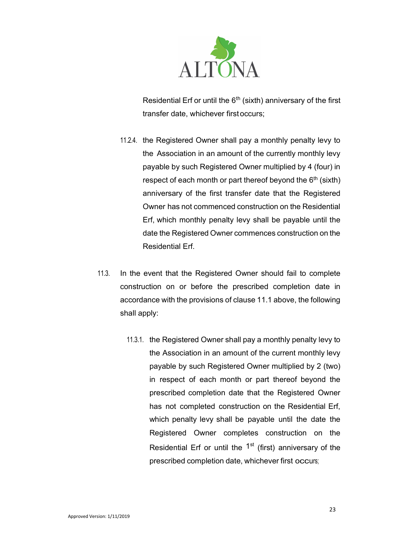

Residential Erf or until the  $6<sup>th</sup>$  (sixth) anniversary of the first transfer date, whichever first occurs;

- 11.2.4. the Registered Owner shall pay a monthly penalty levy to the Association in an amount of the currently monthly levy payable by such Registered Owner multiplied by 4 (four) in respect of each month or part thereof beyond the  $6<sup>th</sup>$  (sixth) anniversary of the first transfer date that the Registered Owner has not commenced construction on the Residential Erf, which monthly penalty levy shall be payable until the date the Registered Owner commences construction on the Residential Erf.
- 11.3. In the event that the Registered Owner should fail to complete construction on or before the prescribed completion date in accordance with the provisions of clause 11.1 above, the following shall apply:
	- 11.3.1. the Registered Owner shall pay a monthly penalty levy to the Association in an amount of the current monthly levy payable by such Registered Owner multiplied by 2 (two) in respect of each month or part thereof beyond the prescribed completion date that the Registered Owner has not completed construction on the Residential Erf, which penalty levy shall be payable until the date the Registered Owner completes construction on the Residential Erf or until the  $1<sup>st</sup>$  (first) anniversary of the prescribed completion date, whichever first occurs;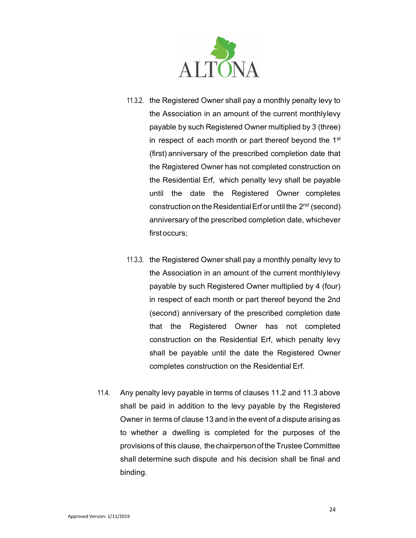

- 11.3.2. the Registered Owner shall pay a monthly penalty levy to the Association in an amount of the current monthly levy payable by such Registered Owner multiplied by 3 (three) in respect of each month or part thereof beyond the 1<sup>st</sup> (first) anniversary of the prescribed completion date that the Registered Owner has not completed construction on the Residential Erf, which penalty levy shall be payable until the date the Registered Owner completes construction on the Residential Erf or until the  $2<sup>nd</sup>$  (second) anniversary of the prescribed completion date, whichever first occurs;
- 11.3.3. the Registered Owner shall pay a monthly penalty levy to the Association in an amount of the current monthlylevy payable by such Registered Owner multiplied by 4 (four) in respect of each month or part thereof beyond the 2nd (second) anniversary of the prescribed completion date that the Registered Owner has not completed construction on the Residential Erf, which penalty levy shall be payable until the date the Registered Owner completes construction on the Residential Erf.
- 11.4. Any penalty levy payable in terms of clauses 11.2 and 11.3 above shall be paid in addition to the levy payable by the Registered Owner in terms of clause 13 and in the event of a dispute arising as to whether a dwelling is completed for the purposes of the provisions of this clause, the chairperson of the Trustee Committee shall determine such dispute and his decision shall be final and binding.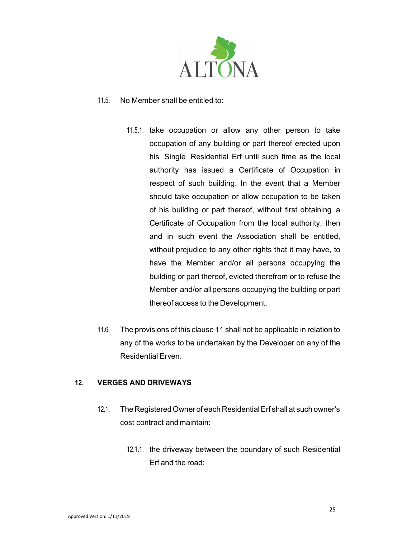

## 11.5. No Member shall be entitled to:

- 11.5.1. take occupation or allow any other person to take occupation of any building or part thereof erected upon his Single Residential Erf until such time as the local authority has issued a Certificate of Occupation in respect of such building. In the event that a Member should take occupation or allow occupation to be taken of his building or part thereof, without first obtaining a Certificate of Occupation from the local authority, then and in such event the Association shall be entitled, without prejudice to any other rights that it may have, to have the Member and/or all persons occupying the building or part thereof, evicted therefrom or to refuse the Member and/or all persons occupying the building or part thereof access to the Development.
- 11.6. The provisions of this clause 11 shall not be applicable in relation to any of the works to be undertaken by the Developer on any of the Residential Erven.

## 12. VERGES AND DRIVEWAYS

- 12.1. The Registered Owner of each Residential Erf shall at such owner's cost contract and maintain:
	- 12.1.1. the driveway between the boundary of such Residential Erf and the road;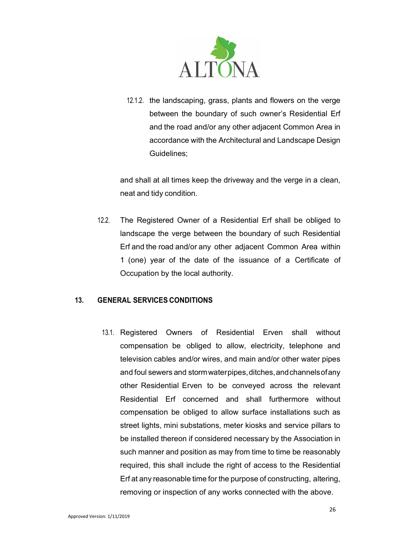

12.1.2. the landscaping, grass, plants and flowers on the verge between the boundary of such owner's Residential Erf and the road and/or any other adjacent Common Area in accordance with the Architectural and Landscape Design Guidelines;

and shall at all times keep the driveway and the verge in a clean, neat and tidy condition.

12.2. The Registered Owner of a Residential Erf shall be obliged to landscape the verge between the boundary of such Residential Erf and the road and/or any other adjacent Common Area within 1 (one) year of the date of the issuance of a Certificate of Occupation by the local authority.

## 13. GENERAL SERVICES CONDITIONS

13.1. Registered Owners of Residential Erven shall without compensation be obliged to allow, electricity, telephone and television cables and/or wires, and main and/or other water pipes and foul sewers and storm water pipes, ditches, and channels of any other Residential Erven to be conveyed across the relevant Residential Erf concerned and shall furthermore without compensation be obliged to allow surface installations such as street lights, mini substations, meter kiosks and service pillars to be installed thereon if considered necessary by the Association in such manner and position as may from time to time be reasonably required, this shall include the right of access to the Residential Erf at any reasonable time for the purpose of constructing, altering, removing or inspection of any works connected with the above.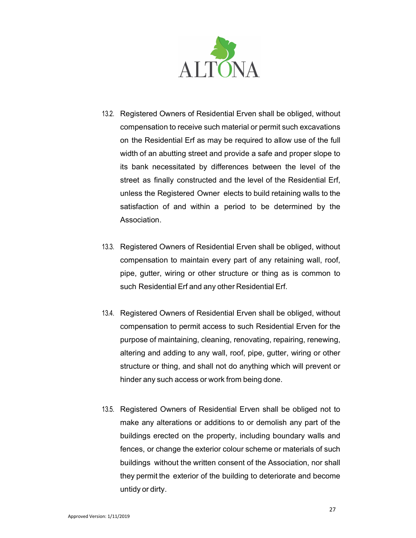

- 13.2. Registered Owners of Residential Erven shall be obliged, without compensation to receive such material or permit such excavations on the Residential Erf as may be required to allow use of the full width of an abutting street and provide a safe and proper slope to its bank necessitated by differences between the level of the street as finally constructed and the level of the Residential Erf, unless the Registered Owner elects to build retaining walls to the satisfaction of and within a period to be determined by the Association.
- 13.3. Registered Owners of Residential Erven shall be obliged, without compensation to maintain every part of any retaining wall, roof, pipe, gutter, wiring or other structure or thing as is common to such Residential Erf and any other Residential Erf.
- 13.4. Registered Owners of Residential Erven shall be obliged, without compensation to permit access to such Residential Erven for the purpose of maintaining, cleaning, renovating, repairing, renewing, altering and adding to any wall, roof, pipe, gutter, wiring or other structure or thing, and shall not do anything which will prevent or hinder any such access or work from being done.
- 13.5. Registered Owners of Residential Erven shall be obliged not to make any alterations or additions to or demolish any part of the buildings erected on the property, including boundary walls and fences, or change the exterior colour scheme or materials of such buildings without the written consent of the Association, nor shall they permit the exterior of the building to deteriorate and become untidy or dirty.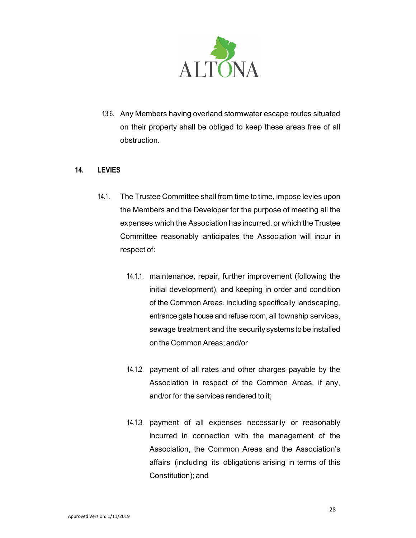

13.6. Any Members having overland stormwater escape routes situated on their property shall be obliged to keep these areas free of all obstruction.

#### 14. LEVIES

- 14.1. The Trustee Committee shall from time to time, impose levies upon the Members and the Developer for the purpose of meeting all the expenses which the Association has incurred, or which the Trustee Committee reasonably anticipates the Association will incur in respect of:
	- 14.1.1. maintenance, repair, further improvement (following the initial development), and keeping in order and condition of the Common Areas, including specifically landscaping, entrance gate house and refuse room, all township services, sewage treatment and the security systems to be installed on the Common Areas; and/or
	- 14.1.2. payment of all rates and other charges payable by the Association in respect of the Common Areas, if any, and/or for the services rendered to it;
	- 14.1.3. payment of all expenses necessarily or reasonably incurred in connection with the management of the Association, the Common Areas and the Association's affairs (including its obligations arising in terms of this Constitution); and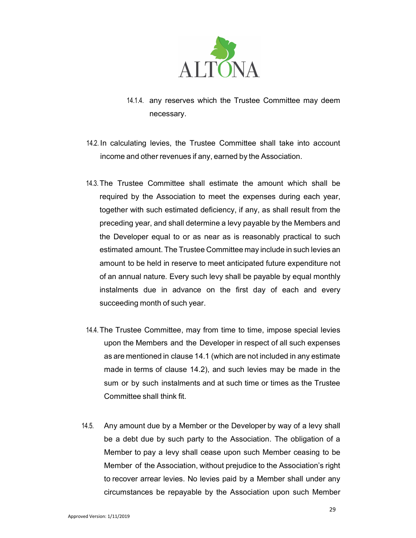

- 14.1.4. any reserves which the Trustee Committee may deem necessary.
- 14.2. In calculating levies, the Trustee Committee shall take into account income and other revenues if any, earned by the Association.
- 14.3. The Trustee Committee shall estimate the amount which shall be required by the Association to meet the expenses during each year, together with such estimated deficiency, if any, as shall result from the preceding year, and shall determine a levy payable by the Members and the Developer equal to or as near as is reasonably practical to such estimated amount. The Trustee Committee may include in such levies an amount to be held in reserve to meet anticipated future expenditure not of an annual nature. Every such levy shall be payable by equal monthly instalments due in advance on the first day of each and every succeeding month of such year.
- 14.4. The Trustee Committee, may from time to time, impose special levies upon the Members and the Developer in respect of all such expenses as are mentioned in clause 14.1 (which are not included in any estimate made in terms of clause 14.2), and such levies may be made in the sum or by such instalments and at such time or times as the Trustee Committee shall think fit.
- 14.5. Any amount due by a Member or the Developer by way of a levy shall be a debt due by such party to the Association. The obligation of a Member to pay a levy shall cease upon such Member ceasing to be Member of the Association, without prejudice to the Association's right to recover arrear levies. No levies paid by a Member shall under any circumstances be repayable by the Association upon such Member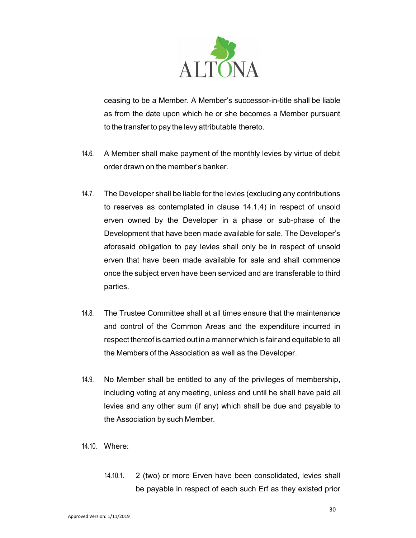

ceasing to be a Member. A Member's successor-in-title shall be liable as from the date upon which he or she becomes a Member pursuant to the transfer to pay the levy attributable thereto.

- 14.6. A Member shall make payment of the monthly levies by virtue of debit order drawn on the member's banker.
- 14.7. The Developer shall be liable for the levies (excluding any contributions to reserves as contemplated in clause 14.1.4) in respect of unsold erven owned by the Developer in a phase or sub-phase of the Development that have been made available for sale. The Developer's aforesaid obligation to pay levies shall only be in respect of unsold erven that have been made available for sale and shall commence once the subject erven have been serviced and are transferable to third parties.
- 14.8. The Trustee Committee shall at all times ensure that the maintenance and control of the Common Areas and the expenditure incurred in respect thereof is carried out in a manner which is fair and equitable to all the Members of the Association as well as the Developer.
- 14.9. No Member shall be entitled to any of the privileges of membership, including voting at any meeting, unless and until he shall have paid all levies and any other sum (if any) which shall be due and payable to the Association by such Member.
- 14.10. Where:
	- 14.10.1. 2 (two) or more Erven have been consolidated, levies shall be payable in respect of each such Erf as they existed prior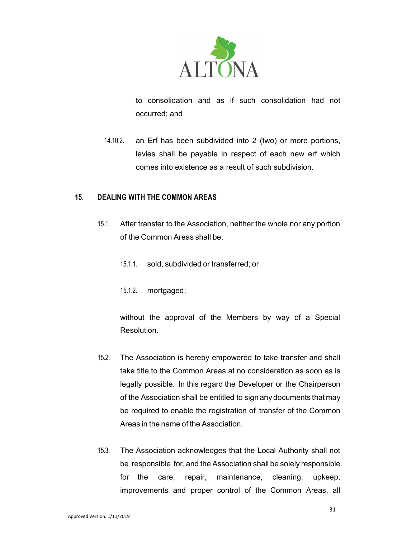

to consolidation and as if such consolidation had not occurred; and

14.10.2. an Erf has been subdivided into 2 (two) or more portions, levies shall be payable in respect of each new erf which comes into existence as a result of such subdivision.

#### 15. DEALING WITH THE COMMON AREAS

- 15.1. After transfer to the Association, neither the whole nor any portion of the Common Areas shall be:
	- 15.1.1. sold, subdivided or transferred; or
	- 15.1.2. mortgaged;

without the approval of the Members by way of a Special Resolution.

- 15.2. The Association is hereby empowered to take transfer and shall take title to the Common Areas at no consideration as soon as is legally possible. In this regard the Developer or the Chairperson of the Association shall be entitled to sign any documents that may be required to enable the registration of transfer of the Common Areas in the name of the Association.
- 15.3. The Association acknowledges that the Local Authority shall not be responsible for, and the Association shall be solely responsible for the care, repair, maintenance, cleaning, upkeep, improvements and proper control of the Common Areas, all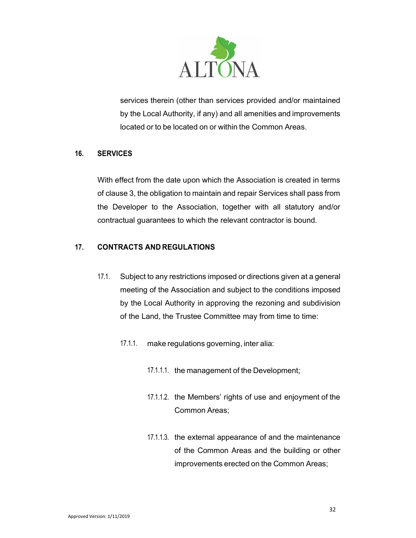

services therein (other than services provided and/or maintained by the Local Authority, if any) and all amenities and improvements located or to be located on or within the Common Areas.

## 16. SERVICES

With effect from the date upon which the Association is created in terms of clause 3, the obligation to maintain and repair Services shall pass from the Developer to the Association, together with all statutory and/or contractual guarantees to which the relevant contractor is bound.

## 17. CONTRACTS AND REGULATIONS

- 17.1. Subject to any restrictions imposed or directions given at a general meeting of the Association and subject to the conditions imposed by the Local Authority in approving the rezoning and subdivision of the Land, the Trustee Committee may from time to time:
	- 17.1.1. make regulations governing, inter alia:
		- 17.1.1.1. the management of the Development;
		- 17.1.1.2. the Members' rights of use and enjoyment of the Common Areas;
		- 17.1.1.3. the external appearance of and the maintenance of the Common Areas and the building or other improvements erected on the Common Areas;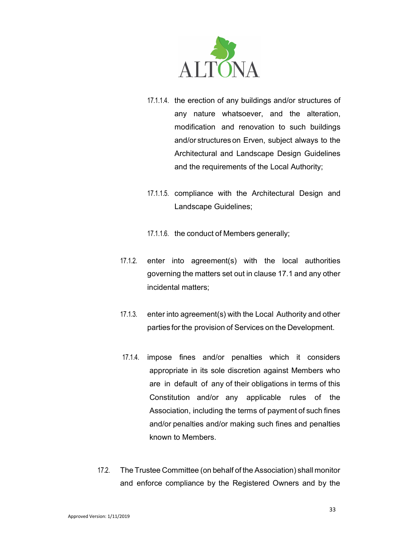

- 17.1.1.4. the erection of any buildings and/or structures of any nature whatsoever, and the alteration, modification and renovation to such buildings and/or structures on Erven, subject always to the Architectural and Landscape Design Guidelines and the requirements of the Local Authority;
- 17.1.1.5. compliance with the Architectural Design and Landscape Guidelines;
- 17.1.1.6. the conduct of Members generally;
- 17.1.2. enter into agreement(s) with the local authorities governing the matters set out in clause 17.1 and any other incidental matters;
- 17.1.3. enter into agreement(s) with the Local Authority and other parties for the provision of Services on the Development.
- 17.1.4. impose fines and/or penalties which it considers appropriate in its sole discretion against Members who are in default of any of their obligations in terms of this Constitution and/or any applicable rules of the Association, including the terms of payment of such fines and/or penalties and/or making such fines and penalties known to Members.
- 17.2. The Trustee Committee (on behalf of the Association) shall monitor and enforce compliance by the Registered Owners and by the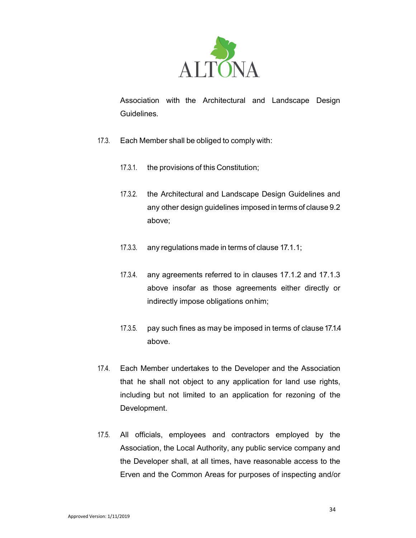

Association with the Architectural and Landscape Design **Guidelines** 

- 17.3. Each Member shall be obliged to comply with:
	- 17.3.1. the provisions of this Constitution;
	- 17.3.2. the Architectural and Landscape Design Guidelines and any other design guidelines imposed in terms of clause 9.2 above;
	- 17.3.3. any regulations made in terms of clause 17.1.1;
	- 17.3.4. any agreements referred to in clauses 17.1.2 and 17.1.3 above insofar as those agreements either directly or indirectly impose obligations on him;
	- 17.3.5. pay such fines as may be imposed in terms of clause 17.1.4 above.
- 17.4. Each Member undertakes to the Developer and the Association that he shall not object to any application for land use rights, including but not limited to an application for rezoning of the Development.
- 17.5. All officials, employees and contractors employed by the Association, the Local Authority, any public service company and the Developer shall, at all times, have reasonable access to the Erven and the Common Areas for purposes of inspecting and/or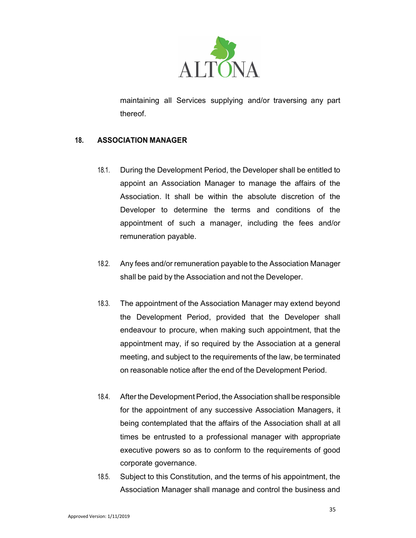

maintaining all Services supplying and/or traversing any part thereof.

## 18. ASSOCIATION MANAGER

- 18.1. During the Development Period, the Developer shall be entitled to appoint an Association Manager to manage the affairs of the Association. It shall be within the absolute discretion of the Developer to determine the terms and conditions of the appointment of such a manager, including the fees and/or remuneration payable.
- 18.2. Any fees and/or remuneration payable to the Association Manager shall be paid by the Association and not the Developer.
- 18.3. The appointment of the Association Manager may extend beyond the Development Period, provided that the Developer shall endeavour to procure, when making such appointment, that the appointment may, if so required by the Association at a general meeting, and subject to the requirements of the law, be terminated on reasonable notice after the end of the Development Period.
- 18.4. After the Development Period, the Association shall be responsible for the appointment of any successive Association Managers, it being contemplated that the affairs of the Association shall at all times be entrusted to a professional manager with appropriate executive powers so as to conform to the requirements of good corporate governance.
- 18.5. Subject to this Constitution, and the terms of his appointment, the Association Manager shall manage and control the business and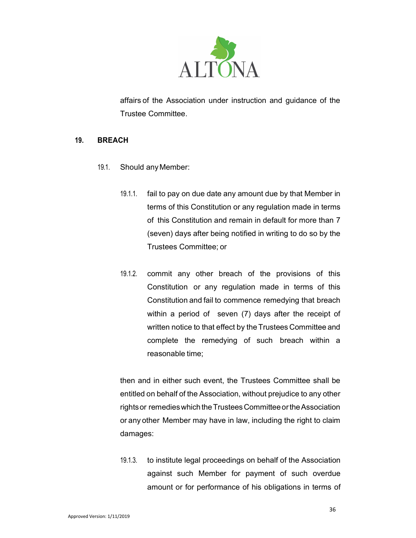

affairs of the Association under instruction and guidance of the Trustee Committee.

#### 19. BREACH

- 19.1. Should any Member:
	- 19.1.1. fail to pay on due date any amount due by that Member in terms of this Constitution or any regulation made in terms of this Constitution and remain in default for more than 7 (seven) days after being notified in writing to do so by the Trustees Committee; or
	- 19.1.2. commit any other breach of the provisions of this Constitution or any regulation made in terms of this Constitution and fail to commence remedying that breach within a period of seven (7) days after the receipt of written notice to that effect by the Trustees Committee and complete the remedying of such breach within a reasonable time;

then and in either such event, the Trustees Committee shall be entitled on behalf of the Association, without prejudice to any other rights or remedies which the Trustees Committee or the Association or any other Member may have in law, including the right to claim damages:

19.1.3. to institute legal proceedings on behalf of the Association against such Member for payment of such overdue amount or for performance of his obligations in terms of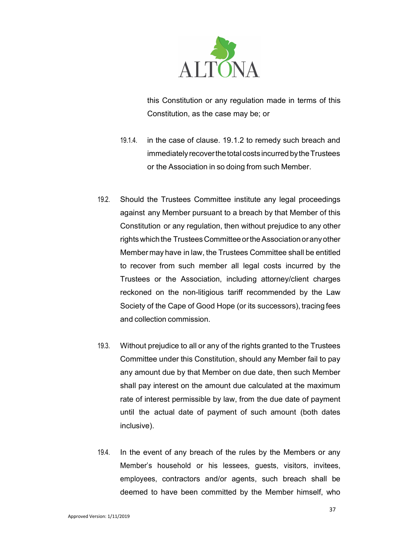

this Constitution or any regulation made in terms of this Constitution, as the case may be; or

- 19.1.4. in the case of clause. 19.1.2 to remedy such breach and immediately recover the total costs incurred by the Trustees or the Association in so doing from such Member.
- 19.2. Should the Trustees Committee institute any legal proceedings against any Member pursuant to a breach by that Member of this Constitution or any regulation, then without prejudice to any other rights which the Trustees Committee or the Association or any other Member may have in law, the Trustees Committee shall be entitled to recover from such member all legal costs incurred by the Trustees or the Association, including attorney/client charges reckoned on the non-litigious tariff recommended by the Law Society of the Cape of Good Hope (or its successors), tracing fees and collection commission.
- 19.3. Without prejudice to all or any of the rights granted to the Trustees Committee under this Constitution, should any Member fail to pay any amount due by that Member on due date, then such Member shall pay interest on the amount due calculated at the maximum rate of interest permissible by law, from the due date of payment until the actual date of payment of such amount (both dates inclusive).
- 19.4. In the event of any breach of the rules by the Members or any Member's household or his lessees, guests, visitors, invitees, employees, contractors and/or agents, such breach shall be deemed to have been committed by the Member himself, who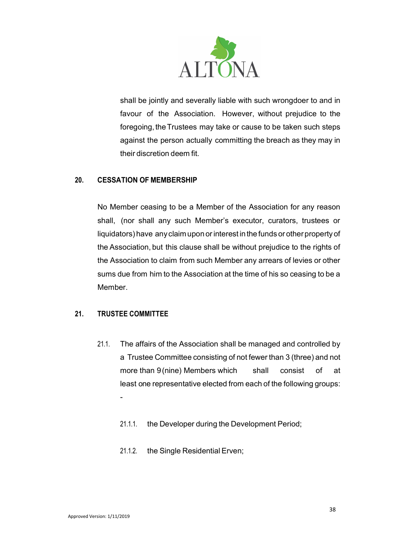

shall be jointly and severally liable with such wrongdoer to and in favour of the Association. However, without prejudice to the foregoing, the Trustees may take or cause to be taken such steps against the person actually committing the breach as they may in their discretion deem fit.

### 20. CESSATION OF MEMBERSHIP

No Member ceasing to be a Member of the Association for any reason shall, (nor shall any such Member's executor, curators, trustees or liquidators) have any claim upon or interest in the funds or other property of the Association, but this clause shall be without prejudice to the rights of the Association to claim from such Member any arrears of levies or other sums due from him to the Association at the time of his so ceasing to be a Member.

# 21. TRUSTEE COMMITTEE

- 21.1. The affairs of the Association shall be managed and controlled by a Trustee Committee consisting of not fewer than 3 (three) and not more than 9(nine) Members which shall consist of at least one representative elected from each of the following groups: -
	- 21.1.1. the Developer during the Development Period;
	- 21.1.2. the Single Residential Erven;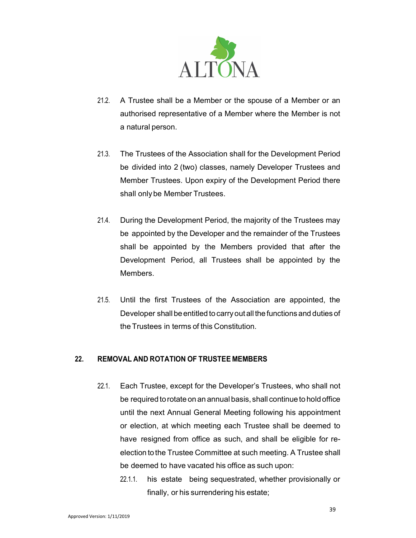

- 21.2. A Trustee shall be a Member or the spouse of a Member or an authorised representative of a Member where the Member is not a natural person.
- 21.3. The Trustees of the Association shall for the Development Period be divided into 2 (two) classes, namely Developer Trustees and Member Trustees. Upon expiry of the Development Period there shall only be Member Trustees.
- 21.4. During the Development Period, the majority of the Trustees may be appointed by the Developer and the remainder of the Trustees shall be appointed by the Members provided that after the Development Period, all Trustees shall be appointed by the Members.
- 21.5. Until the first Trustees of the Association are appointed, the Developer shall be entitled to carry out all the functions and duties of the Trustees in terms of this Constitution.

# 22. REMOVAL AND ROTATION OF TRUSTEE MEMBERS

- 22.1. Each Trustee, except for the Developer's Trustees, who shall not be required to rotate on an annual basis, shall continue to hold office until the next Annual General Meeting following his appointment or election, at which meeting each Trustee shall be deemed to have resigned from office as such, and shall be eligible for reelection to the Trustee Committee at such meeting. A Trustee shall be deemed to have vacated his office as such upon:
	- 22.1.1. his estate being sequestrated, whether provisionally or finally, or his surrendering his estate;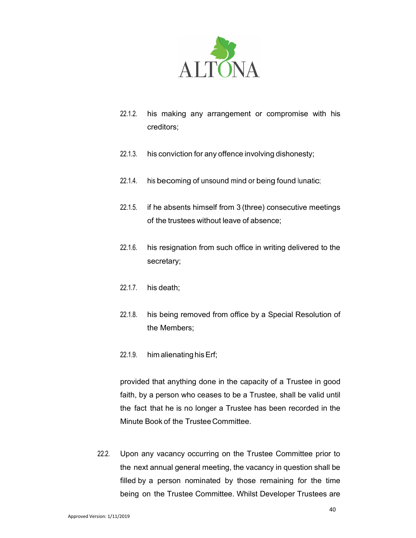

- 22.1.2. his making any arrangement or compromise with his creditors;
- 22.1.3. his conviction for any offence involving dishonesty;
- 22.1.4. his becoming of unsound mind or being found lunatic;
- 22.1.5. if he absents himself from 3 (three) consecutive meetings of the trustees without leave of absence;
- 22.1.6. his resignation from such office in writing delivered to the secretary;
- 22.1.7. his death;
- 22.1.8. his being removed from office by a Special Resolution of the Members;
- 22.1.9. him alienating his Erf;

provided that anything done in the capacity of a Trustee in good faith, by a person who ceases to be a Trustee, shall be valid until the fact that he is no longer a Trustee has been recorded in the Minute Book of the Trustee Committee.

22.2. Upon any vacancy occurring on the Trustee Committee prior to the next annual general meeting, the vacancy in question shall be filled by a person nominated by those remaining for the time being on the Trustee Committee. Whilst Developer Trustees are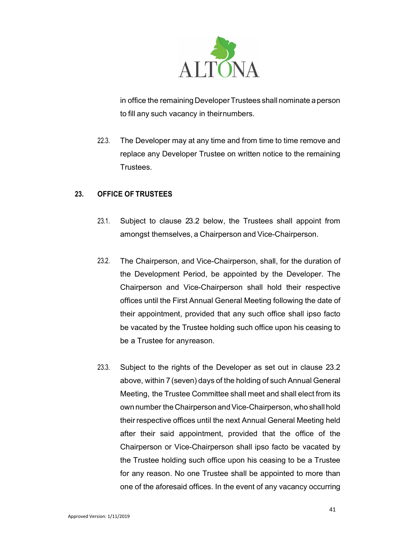

in office the remaining Developer Trustees shall nominate a person to fill any such vacancy in their numbers.

22.3. The Developer may at any time and from time to time remove and replace any Developer Trustee on written notice to the remaining Trustees.

# 23. OFFICE OF TRUSTEES

- 23.1. Subject to clause 23.2 below, the Trustees shall appoint from amongst themselves, a Chairperson and Vice-Chairperson.
- 23.2. The Chairperson, and Vice-Chairperson, shall, for the duration of the Development Period, be appointed by the Developer. The Chairperson and Vice-Chairperson shall hold their respective offices until the First Annual General Meeting following the date of their appointment, provided that any such office shall ipso facto be vacated by the Trustee holding such office upon his ceasing to be a Trustee for any reason.
- 23.3. Subject to the rights of the Developer as set out in clause 23.2 above, within 7 (seven) days of the holding of such Annual General Meeting, the Trustee Committee shall meet and shall elect from its own number the Chairperson and Vice-Chairperson, who shall hold their respective offices until the next Annual General Meeting held after their said appointment, provided that the office of the Chairperson or Vice-Chairperson shall ipso facto be vacated by the Trustee holding such office upon his ceasing to be a Trustee for any reason. No one Trustee shall be appointed to more than one of the aforesaid offices. In the event of any vacancy occurring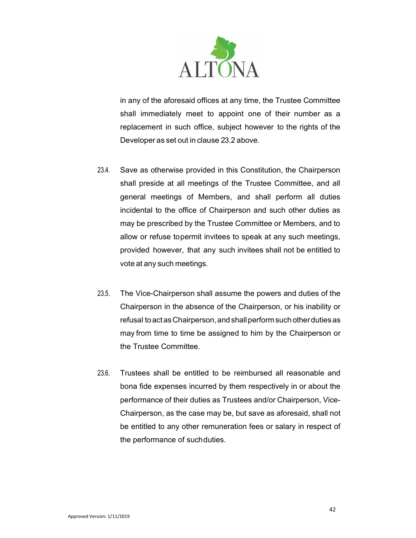

in any of the aforesaid offices at any time, the Trustee Committee shall immediately meet to appoint one of their number as a replacement in such office, subject however to the rights of the Developer as set out in clause 23.2 above.

- 23.4. Save as otherwise provided in this Constitution, the Chairperson shall preside at all meetings of the Trustee Committee, and all general meetings of Members, and shall perform all duties incidental to the office of Chairperson and such other duties as may be prescribed by the Trustee Committee or Members, and to allow or refuse to permit invitees to speak at any such meetings, provided however, that any such invitees shall not be entitled to vote at any such meetings.
- 23.5. The Vice-Chairperson shall assume the powers and duties of the Chairperson in the absence of the Chairperson, or his inability or refusal to act as Chairperson, and shall perform such other duties as may from time to time be assigned to him by the Chairperson or the Trustee Committee.
- 23.6. Trustees shall be entitled to be reimbursed all reasonable and bona fide expenses incurred by them respectively in or about the performance of their duties as Trustees and/or Chairperson, Vice-Chairperson, as the case may be, but save as aforesaid, shall not be entitled to any other remuneration fees or salary in respect of the performance of such duties.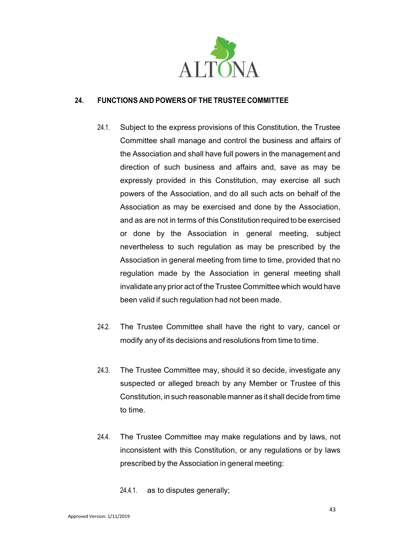

# 24. FUNCTIONS AND POWERS OF THE TRUSTEE COMMITTEE

- 24.1. Subject to the express provisions of this Constitution, the Trustee Committee shall manage and control the business and affairs of the Association and shall have full powers in the management and direction of such business and affairs and, save as may be expressly provided in this Constitution, may exercise all such powers of the Association, and do all such acts on behalf of the Association as may be exercised and done by the Association, and as are not in terms of this Constitution required to be exercised or done by the Association in general meeting, subject nevertheless to such regulation as may be prescribed by the Association in general meeting from time to time, provided that no regulation made by the Association in general meeting shall invalidate any prior act of the Trustee Committee which would have been valid if such regulation had not been made.
- 24.2. The Trustee Committee shall have the right to vary, cancel or modify any of its decisions and resolutions from time to time.
- 24.3. The Trustee Committee may, should it so decide, investigate any suspected or alleged breach by any Member or Trustee of this Constitution, in such reasonable manner as it shall decide from time to time.
- 24.4. The Trustee Committee may make regulations and by laws, not inconsistent with this Constitution, or any regulations or by laws prescribed by the Association in general meeting:

24.4.1. as to disputes generally;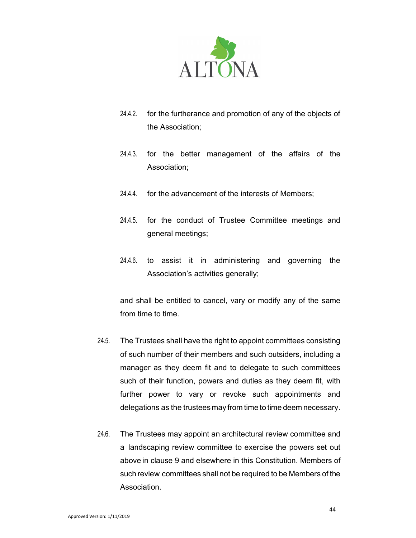

- 24.4.2. for the furtherance and promotion of any of the objects of the Association;
- 24.4.3. for the better management of the affairs of the Association;
- 24.4.4. for the advancement of the interests of Members;
- 24.4.5. for the conduct of Trustee Committee meetings and general meetings;
- 24.4.6. to assist it in administering and governing the Association's activities generally;

and shall be entitled to cancel, vary or modify any of the same from time to time.

- 24.5. The Trustees shall have the right to appoint committees consisting of such number of their members and such outsiders, including a manager as they deem fit and to delegate to such committees such of their function, powers and duties as they deem fit, with further power to vary or revoke such appointments and delegations as the trustees may from time to time deem necessary.
- 24.6. The Trustees may appoint an architectural review committee and a landscaping review committee to exercise the powers set out above in clause 9 and elsewhere in this Constitution. Members of such review committees shall not be required to be Members of the **Association**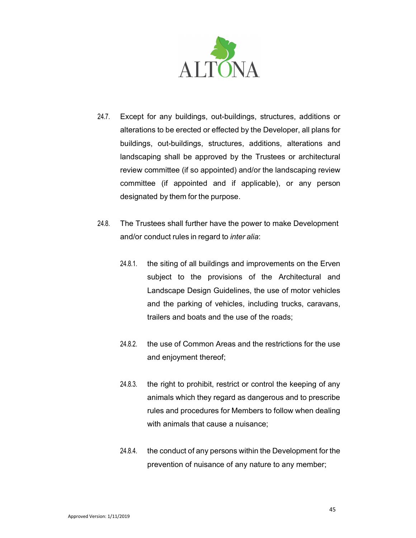

- 24.7. Except for any buildings, out-buildings, structures, additions or alterations to be erected or effected by the Developer, all plans for buildings, out-buildings, structures, additions, alterations and landscaping shall be approved by the Trustees or architectural review committee (if so appointed) and/or the landscaping review committee (if appointed and if applicable), or any person designated by them for the purpose.
- 24.8. The Trustees shall further have the power to make Development and/or conduct rules in regard to inter alia:
	- 24.8.1. the siting of all buildings and improvements on the Erven subject to the provisions of the Architectural and Landscape Design Guidelines, the use of motor vehicles and the parking of vehicles, including trucks, caravans, trailers and boats and the use of the roads;
	- 24.8.2. the use of Common Areas and the restrictions for the use and enjoyment thereof;
	- 24.8.3. the right to prohibit, restrict or control the keeping of any animals which they regard as dangerous and to prescribe rules and procedures for Members to follow when dealing with animals that cause a nuisance;
	- 24.8.4. the conduct of any persons within the Development for the prevention of nuisance of any nature to any member;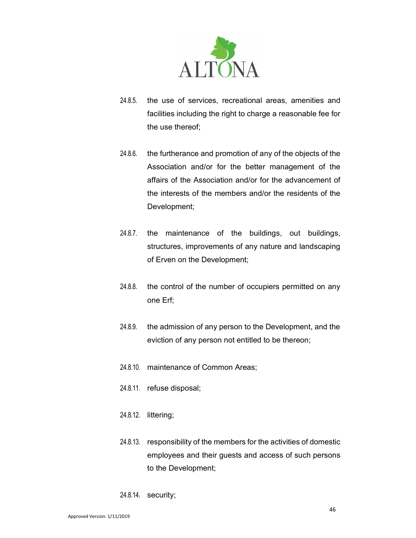

- 24.8.5. the use of services, recreational areas, amenities and facilities including the right to charge a reasonable fee for the use thereof;
- 24.8.6. the furtherance and promotion of any of the objects of the Association and/or for the better management of the affairs of the Association and/or for the advancement of the interests of the members and/or the residents of the Development;
- 24.8.7. the maintenance of the buildings, out buildings, structures, improvements of any nature and landscaping of Erven on the Development;
- 24.8.8. the control of the number of occupiers permitted on any one Erf;
- 24.8.9. the admission of any person to the Development, and the eviction of any person not entitled to be thereon;
- 24.8.10. maintenance of Common Areas;
- 24.8.11. refuse disposal;
- 24.8.12. littering;
- 24.8.13. responsibility of the members for the activities of domestic employees and their guests and access of such persons to the Development;
- 24.8.14. security;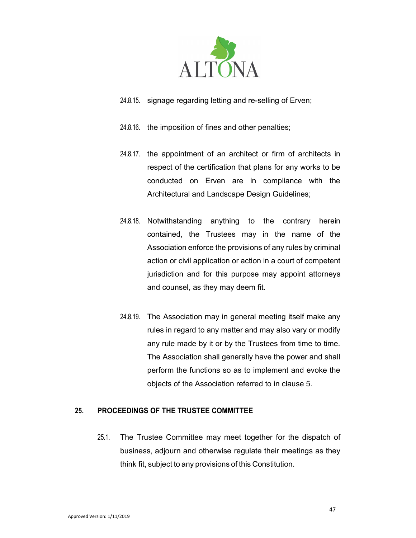

- 24.8.15. signage regarding letting and re-selling of Erven;
- 24.8.16. the imposition of fines and other penalties;
- 24.8.17. the appointment of an architect or firm of architects in respect of the certification that plans for any works to be conducted on Erven are in compliance with the Architectural and Landscape Design Guidelines;
- 24.8.18. Notwithstanding anything to the contrary herein contained, the Trustees may in the name of the Association enforce the provisions of any rules by criminal action or civil application or action in a court of competent jurisdiction and for this purpose may appoint attorneys and counsel, as they may deem fit.
- 24.8.19. The Association may in general meeting itself make any rules in regard to any matter and may also vary or modify any rule made by it or by the Trustees from time to time. The Association shall generally have the power and shall perform the functions so as to implement and evoke the objects of the Association referred to in clause 5.

### 25. PROCEEDINGS OF THE TRUSTEE COMMITTEE

25.1. The Trustee Committee may meet together for the dispatch of business, adjourn and otherwise regulate their meetings as they think fit, subject to any provisions of this Constitution.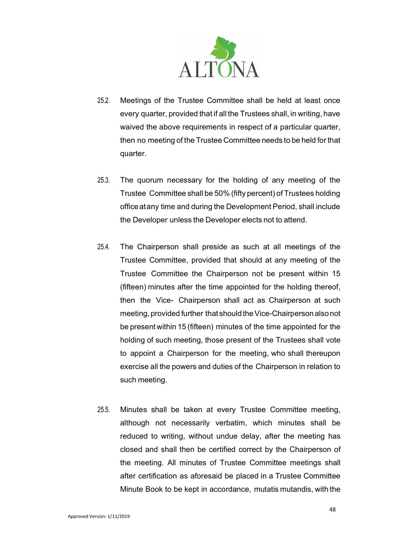

- 25.2. Meetings of the Trustee Committee shall be held at least once every quarter, provided that if all the Trustees shall, in writing, have waived the above requirements in respect of a particular quarter, then no meeting of the Trustee Committee needs to be held for that quarter.
- 25.3. The quorum necessary for the holding of any meeting of the Trustee Committee shall be 50% (fifty percent) of Trustees holding office at any time and during the Development Period, shall include the Developer unless the Developer elects not to attend.
- 25.4. The Chairperson shall preside as such at all meetings of the Trustee Committee, provided that should at any meeting of the Trustee Committee the Chairperson not be present within 15 (fifteen) minutes after the time appointed for the holding thereof, then the Vice- Chairperson shall act as Chairperson at such meeting, provided further that should the Vice-Chairperson also not be present within 15 (fifteen) minutes of the time appointed for the holding of such meeting, those present of the Trustees shall vote to appoint a Chairperson for the meeting, who shall thereupon exercise all the powers and duties of the Chairperson in relation to such meeting.
- 25.5. Minutes shall be taken at every Trustee Committee meeting, although not necessarily verbatim, which minutes shall be reduced to writing, without undue delay, after the meeting has closed and shall then be certified correct by the Chairperson of the meeting. All minutes of Trustee Committee meetings shall after certification as aforesaid be placed in a Trustee Committee Minute Book to be kept in accordance, mutatis mutandis, with the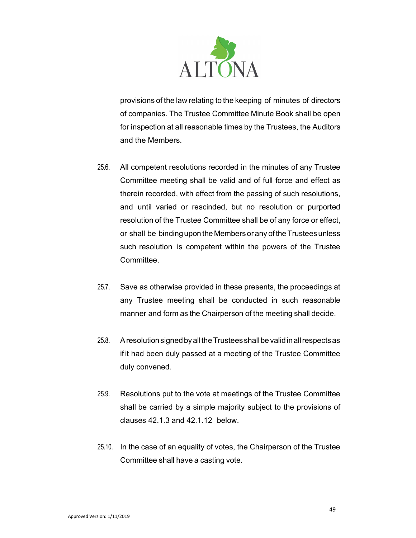

provisions of the law relating to the keeping of minutes of directors of companies. The Trustee Committee Minute Book shall be open for inspection at all reasonable times by the Trustees, the Auditors and the Members.

- 25.6. All competent resolutions recorded in the minutes of any Trustee Committee meeting shall be valid and of full force and effect as therein recorded, with effect from the passing of such resolutions, and until varied or rescinded, but no resolution or purported resolution of the Trustee Committee shall be of any force or effect, or shall be binding upon the Members or any of the Trustees unless such resolution is competent within the powers of the Trustee Committee.
- 25.7. Save as otherwise provided in these presents, the proceedings at any Trustee meeting shall be conducted in such reasonable manner and form as the Chairperson of the meeting shall decide.
- 25.8. A resolution signed by all the Trustees shall be valid in all respects as if it had been duly passed at a meeting of the Trustee Committee duly convened.
- 25.9. Resolutions put to the vote at meetings of the Trustee Committee shall be carried by a simple majority subject to the provisions of clauses 42.1.3 and 42.1.12 below.
- 25.10. In the case of an equality of votes, the Chairperson of the Trustee Committee shall have a casting vote.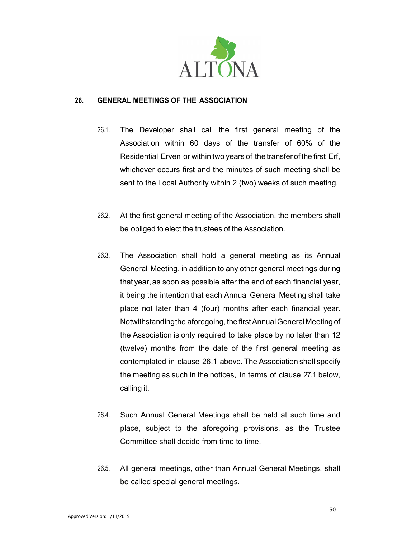

# 26. GENERAL MEETINGS OF THE ASSOCIATION

- 26.1. The Developer shall call the first general meeting of the Association within 60 days of the transfer of 60% of the Residential Erven or within two years of the transfer of the first Erf, whichever occurs first and the minutes of such meeting shall be sent to the Local Authority within 2 (two) weeks of such meeting.
- 26.2. At the first general meeting of the Association, the members shall be obliged to elect the trustees of the Association.
- 26.3. The Association shall hold a general meeting as its Annual General Meeting, in addition to any other general meetings during that year, as soon as possible after the end of each financial year, it being the intention that each Annual General Meeting shall take place not later than 4 (four) months after each financial year. Notwithstanding the aforegoing, the first Annual General Meeting of the Association is only required to take place by no later than 12 (twelve) months from the date of the first general meeting as contemplated in clause 26.1 above. The Association shall specify the meeting as such in the notices, in terms of clause 27.1 below, calling it.
- 26.4. Such Annual General Meetings shall be held at such time and place, subject to the aforegoing provisions, as the Trustee Committee shall decide from time to time.
- 26.5. All general meetings, other than Annual General Meetings, shall be called special general meetings.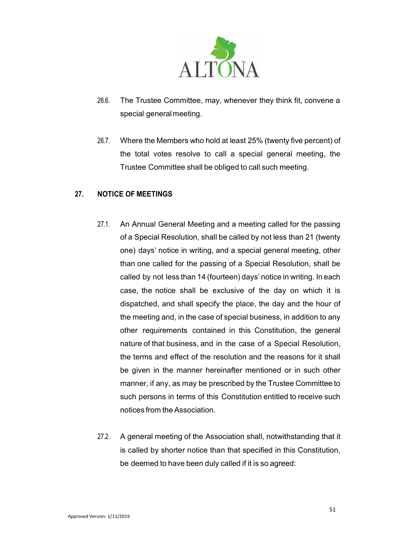

- 26.6. The Trustee Committee, may, whenever they think fit, convene a special general meeting.
- 26.7. Where the Members who hold at least 25% (twenty five percent) of the total votes resolve to call a special general meeting, the Trustee Committee shall be obliged to call such meeting.

# 27. NOTICE OF MEETINGS

- 27.1. An Annual General Meeting and a meeting called for the passing of a Special Resolution, shall be called by not less than 21 (twenty one) days' notice in writing, and a special general meeting, other than one called for the passing of a Special Resolution, shall be called by not less than 14 (fourteen) days' notice in writing. In each case, the notice shall be exclusive of the day on which it is dispatched, and shall specify the place, the day and the hour of the meeting and, in the case of special business, in addition to any other requirements contained in this Constitution, the general nature of that business, and in the case of a Special Resolution, the terms and effect of the resolution and the reasons for it shall be given in the manner hereinafter mentioned or in such other manner, if any, as may be prescribed by the Trustee Committee to such persons in terms of this Constitution entitled to receive such notices from the Association.
- 27.2. A general meeting of the Association shall, notwithstanding that it is called by shorter notice than that specified in this Constitution, be deemed to have been duly called if it is so agreed: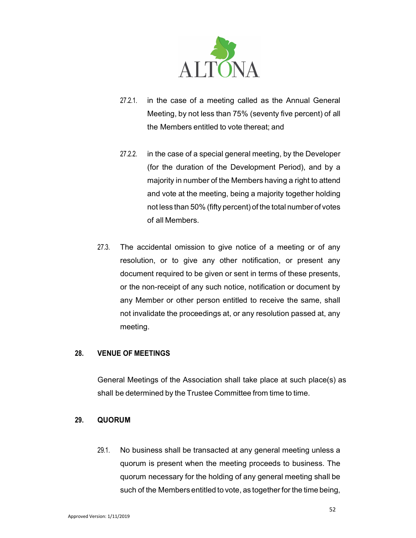

- 27.2.1. in the case of a meeting called as the Annual General Meeting, by not less than 75% (seventy five percent) of all the Members entitled to vote thereat; and
- 27.2.2. in the case of a special general meeting, by the Developer (for the duration of the Development Period), and by a majority in number of the Members having a right to attend and vote at the meeting, being a majority together holding not less than 50% (fifty percent) of the total number of votes of all Members.
- 27.3. The accidental omission to give notice of a meeting or of any resolution, or to give any other notification, or present any document required to be given or sent in terms of these presents, or the non-receipt of any such notice, notification or document by any Member or other person entitled to receive the same, shall not invalidate the proceedings at, or any resolution passed at, any meeting.

### 28. VENUE OF MEETINGS

General Meetings of the Association shall take place at such place(s) as shall be determined by the Trustee Committee from time to time.

### 29. QUORUM

29.1. No business shall be transacted at any general meeting unless a quorum is present when the meeting proceeds to business. The quorum necessary for the holding of any general meeting shall be such of the Members entitled to vote, as together for the time being,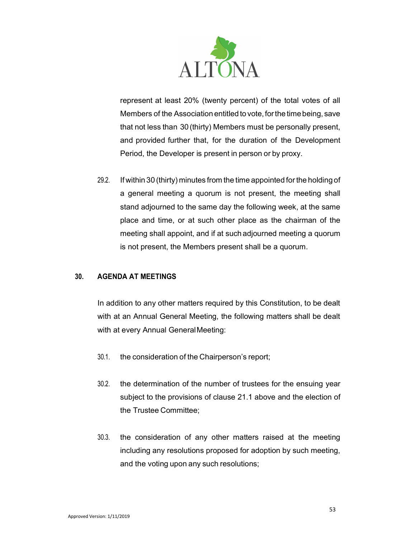

represent at least 20% (twenty percent) of the total votes of all Members of the Association entitled to vote, for the time being, save that not less than 30 (thirty) Members must be personally present, and provided further that, for the duration of the Development Period, the Developer is present in person or by proxy.

29.2. If within 30 (thirty) minutes from the time appointed for the holding of a general meeting a quorum is not present, the meeting shall stand adjourned to the same day the following week, at the same place and time, or at such other place as the chairman of the meeting shall appoint, and if at such adjourned meeting a quorum is not present, the Members present shall be a quorum.

# 30. AGENDA AT MEETINGS

In addition to any other matters required by this Constitution, to be dealt with at an Annual General Meeting, the following matters shall be dealt with at every Annual General Meeting:

- 30.1. the consideration of the Chairperson's report;
- 30.2. the determination of the number of trustees for the ensuing year subject to the provisions of clause 21.1 above and the election of the Trustee Committee;
- 30.3. the consideration of any other matters raised at the meeting including any resolutions proposed for adoption by such meeting, and the voting upon any such resolutions;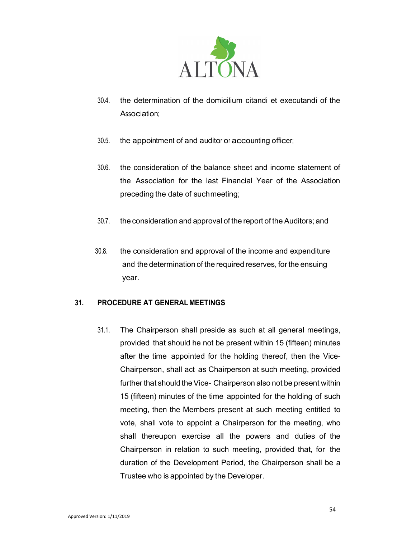

- 30.4. the determination of the domicilium citandi et executandi of the Association;
- 30.5. the appointment of and auditor or accounting officer;
- 30.6. the consideration of the balance sheet and income statement of the Association for the last Financial Year of the Association preceding the date of such meeting;
- 30.7. the consideration and approval of the report of the Auditors; and
- 30.8. the consideration and approval of the income and expenditure and the determination of the required reserves, for the ensuing year.

# 31. PROCEDURE AT GENERAL MEETINGS

31.1. The Chairperson shall preside as such at all general meetings, provided that should he not be present within 15 (fifteen) minutes after the time appointed for the holding thereof, then the Vice-Chairperson, shall act as Chairperson at such meeting, provided further that should the Vice- Chairperson also not be present within 15 (fifteen) minutes of the time appointed for the holding of such meeting, then the Members present at such meeting entitled to vote, shall vote to appoint a Chairperson for the meeting, who shall thereupon exercise all the powers and duties of the Chairperson in relation to such meeting, provided that, for the duration of the Development Period, the Chairperson shall be a Trustee who is appointed by the Developer.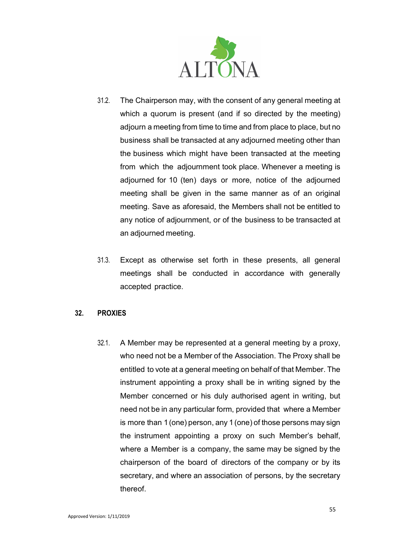

- 31.2. The Chairperson may, with the consent of any general meeting at which a quorum is present (and if so directed by the meeting) adjourn a meeting from time to time and from place to place, but no business shall be transacted at any adjourned meeting other than the business which might have been transacted at the meeting from which the adjournment took place. Whenever a meeting is adjourned for 10 (ten) days or more, notice of the adjourned meeting shall be given in the same manner as of an original meeting. Save as aforesaid, the Members shall not be entitled to any notice of adjournment, or of the business to be transacted at an adjourned meeting.
- 31.3. Except as otherwise set forth in these presents, all general meetings shall be conducted in accordance with generally accepted practice.

### 32. PROXIES

32.1. A Member may be represented at a general meeting by a proxy, who need not be a Member of the Association. The Proxy shall be entitled to vote at a general meeting on behalf of that Member. The instrument appointing a proxy shall be in writing signed by the Member concerned or his duly authorised agent in writing, but need not be in any particular form, provided that where a Member is more than 1 (one) person, any 1 (one) of those persons may sign the instrument appointing a proxy on such Member's behalf, where a Member is a company, the same may be signed by the chairperson of the board of directors of the company or by its secretary, and where an association of persons, by the secretary thereof.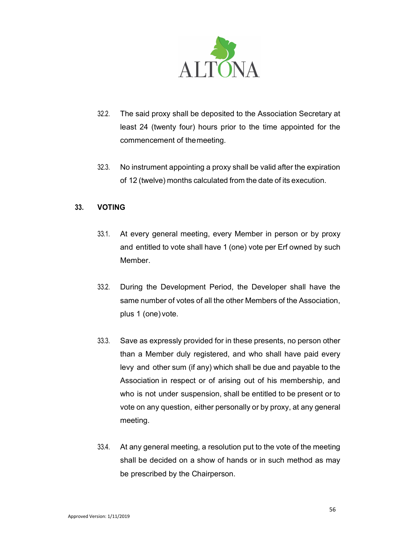

- 32.2. The said proxy shall be deposited to the Association Secretary at least 24 (twenty four) hours prior to the time appointed for the commencement of the meeting.
- 32.3. No instrument appointing a proxy shall be valid after the expiration of 12 (twelve) months calculated from the date of its execution.

# 33. VOTING

- 33.1. At every general meeting, every Member in person or by proxy and entitled to vote shall have 1 (one) vote per Erf owned by such Member.
- 33.2. During the Development Period, the Developer shall have the same number of votes of all the other Members of the Association, plus 1 (one) vote.
- 33.3. Save as expressly provided for in these presents, no person other than a Member duly registered, and who shall have paid every levy and other sum (if any) which shall be due and payable to the Association in respect or of arising out of his membership, and who is not under suspension, shall be entitled to be present or to vote on any question, either personally or by proxy, at any general meeting.
- 33.4. At any general meeting, a resolution put to the vote of the meeting shall be decided on a show of hands or in such method as may be prescribed by the Chairperson.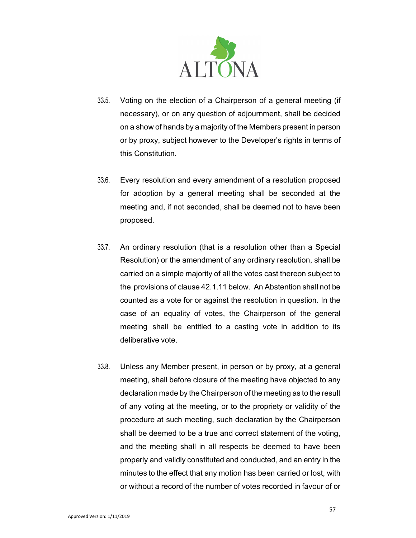

- 33.5. Voting on the election of a Chairperson of a general meeting (if necessary), or on any question of adjournment, shall be decided on a show of hands by a majority of the Members present in person or by proxy, subject however to the Developer's rights in terms of this Constitution.
- 33.6. Every resolution and every amendment of a resolution proposed for adoption by a general meeting shall be seconded at the meeting and, if not seconded, shall be deemed not to have been proposed.
- 33.7. An ordinary resolution (that is a resolution other than a Special Resolution) or the amendment of any ordinary resolution, shall be carried on a simple majority of all the votes cast thereon subject to the provisions of clause 42.1.11 below. An Abstention shall not be counted as a vote for or against the resolution in question. In the case of an equality of votes, the Chairperson of the general meeting shall be entitled to a casting vote in addition to its deliberative vote.
- 33.8. Unless any Member present, in person or by proxy, at a general meeting, shall before closure of the meeting have objected to any declaration made by the Chairperson of the meeting as to the result of any voting at the meeting, or to the propriety or validity of the procedure at such meeting, such declaration by the Chairperson shall be deemed to be a true and correct statement of the voting, and the meeting shall in all respects be deemed to have been properly and validly constituted and conducted, and an entry in the minutes to the effect that any motion has been carried or lost, with or without a record of the number of votes recorded in favour of or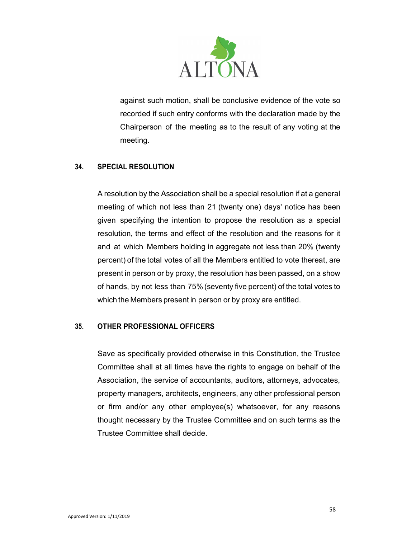

against such motion, shall be conclusive evidence of the vote so recorded if such entry conforms with the declaration made by the Chairperson of the meeting as to the result of any voting at the meeting.

# 34. SPECIAL RESOLUTION

A resolution by the Association shall be a special resolution if at a general meeting of which not less than 21 (twenty one) days' notice has been given specifying the intention to propose the resolution as a special resolution, the terms and effect of the resolution and the reasons for it and at which Members holding in aggregate not less than 20% (twenty percent) of the total votes of all the Members entitled to vote thereat, are present in person or by proxy, the resolution has been passed, on a show of hands, by not less than 75% (seventy five percent) of the total votes to which the Members present in person or by proxy are entitled.

# 35. OTHER PROFESSIONAL OFFICERS

Save as specifically provided otherwise in this Constitution, the Trustee Committee shall at all times have the rights to engage on behalf of the Association, the service of accountants, auditors, attorneys, advocates, property managers, architects, engineers, any other professional person or firm and/or any other employee(s) whatsoever, for any reasons thought necessary by the Trustee Committee and on such terms as the Trustee Committee shall decide.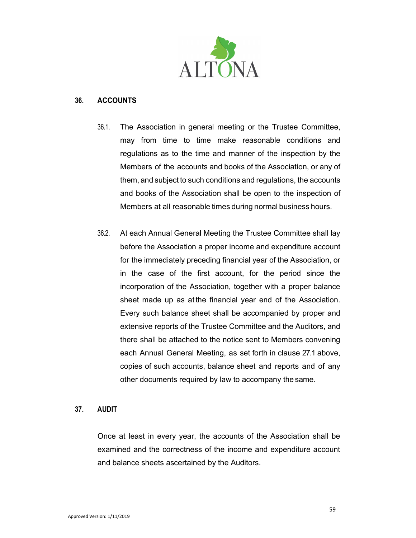

### 36. ACCOUNTS

- 36.1. The Association in general meeting or the Trustee Committee, may from time to time make reasonable conditions and regulations as to the time and manner of the inspection by the Members of the accounts and books of the Association, or any of them, and subject to such conditions and regulations, the accounts and books of the Association shall be open to the inspection of Members at all reasonable times during normal business hours.
- 36.2. At each Annual General Meeting the Trustee Committee shall lay before the Association a proper income and expenditure account for the immediately preceding financial year of the Association, or in the case of the first account, for the period since the incorporation of the Association, together with a proper balance sheet made up as at the financial year end of the Association. Every such balance sheet shall be accompanied by proper and extensive reports of the Trustee Committee and the Auditors, and there shall be attached to the notice sent to Members convening each Annual General Meeting, as set forth in clause 27.1 above, copies of such accounts, balance sheet and reports and of any other documents required by law to accompany the same.

### 37. AUDIT

Once at least in every year, the accounts of the Association shall be examined and the correctness of the income and expenditure account and balance sheets ascertained by the Auditors.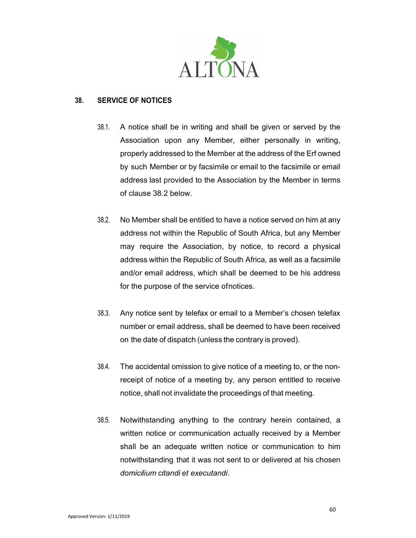

### 38. SERVICE OF NOTICES

- 38.1. A notice shall be in writing and shall be given or served by the Association upon any Member, either personally in writing, properly addressed to the Member at the address of the Erf owned by such Member or by facsimile or email to the facsimile or email address last provided to the Association by the Member in terms of clause 38.2 below.
- 38.2. No Member shall be entitled to have a notice served on him at any address not within the Republic of South Africa, but any Member may require the Association, by notice, to record a physical address within the Republic of South Africa, as well as a facsimile and/or email address, which shall be deemed to be his address for the purpose of the service of notices.
- 38.3. Any notice sent by telefax or email to a Member's chosen telefax number or email address, shall be deemed to have been received on the date of dispatch (unless the contrary is proved).
- 38.4. The accidental omission to give notice of a meeting to, or the nonreceipt of notice of a meeting by, any person entitled to receive notice, shall not invalidate the proceedings of that meeting.
- 38.5. Notwithstanding anything to the contrary herein contained, a written notice or communication actually received by a Member shall be an adequate written notice or communication to him notwithstanding that it was not sent to or delivered at his chosen domicilium citandi et executandi.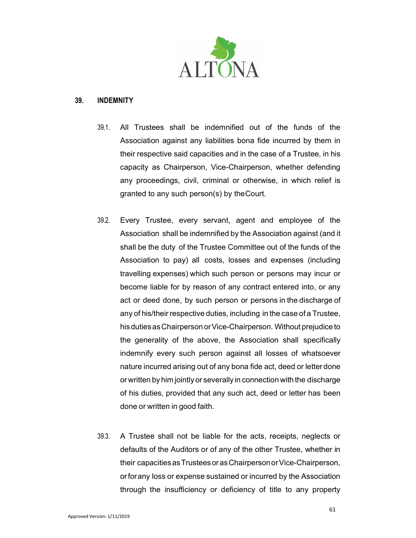

### 39. INDEMNITY

- 39.1. All Trustees shall be indemnified out of the funds of the Association against any liabilities bona fide incurred by them in their respective said capacities and in the case of a Trustee, in his capacity as Chairperson, Vice-Chairperson, whether defending any proceedings, civil, criminal or otherwise, in which relief is granted to any such person(s) by the Court.
- 39.2. Every Trustee, every servant, agent and employee of the Association shall be indemnified by the Association against (and it shall be the duty of the Trustee Committee out of the funds of the Association to pay) all costs, losses and expenses (including travelling expenses) which such person or persons may incur or become liable for by reason of any contract entered into, or any act or deed done, by such person or persons in the discharge of any of his/their respective duties, including in the case of a Trustee, his duties as Chairperson or Vice-Chairperson. Without prejudice to the generality of the above, the Association shall specifically indemnify every such person against all losses of whatsoever nature incurred arising out of any bona fide act, deed or letter done or written by him jointly or severally in connection with the discharge of his duties, provided that any such act, deed or letter has been done or written in good faith.
- 39.3. A Trustee shall not be liable for the acts, receipts, neglects or defaults of the Auditors or of any of the other Trustee, whether in their capacities as Trustees or as Chairperson or Vice-Chairperson, or for any loss or expense sustained or incurred by the Association through the insufficiency or deficiency of title to any property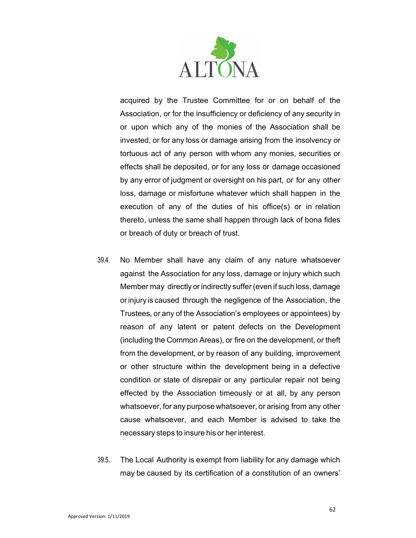

acquired by the Trustee Committee for or on behalf of the Association, or for the insufficiency or deficiency of any security in or upon which any of the monies of the Association shall be invested, or for any loss or damage arising from the insolvency or tortuous act of any person with whom any monies, securities or effects shall be deposited, or for any loss or damage occasioned by any error of judgment or oversight on his part, or for any other loss, damage or misfortune whatever which shall happen in the execution of any of the duties of his office(s) or in relation thereto, unless the same shall happen through lack of bona fides or breach of duty or breach of trust.

- 39.4. No Member shall have any claim of any nature whatsoever against the Association for any loss, damage or injury which such Member may directly or indirectly suffer (even if such loss, damage or injury is caused through the negligence of the Association, the Trustees, or any of the Association's employees or appointees) by reason of any latent or patent defects on the Development (including the Common Areas), or fire on the development, or theft from the development, or by reason of any building, improvement or other structure within the development being in a defective condition or state of disrepair or any particular repair not being effected by the Association timeously or at all, by any person whatsoever, for any purpose whatsoever, or arising from any other cause whatsoever, and each Member is advised to take the necessary steps to insure his or her interest.
- 39.5. The Local Authority is exempt from liability for any damage which may be caused by its certification of a constitution of an owners'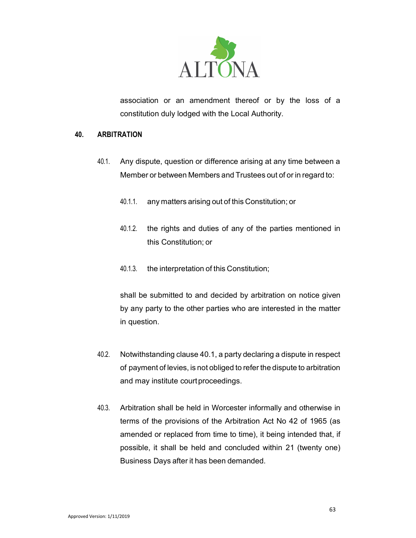

association or an amendment thereof or by the loss of a constitution duly lodged with the Local Authority.

### 40. ARBITRATION

- 40.1. Any dispute, question or difference arising at any time between a Member or between Members and Trustees out of or in regard to:
	- 40.1.1. any matters arising out of this Constitution; or
	- 40.1.2. the rights and duties of any of the parties mentioned in this Constitution; or
	- 40.1.3. the interpretation of this Constitution;

shall be submitted to and decided by arbitration on notice given by any party to the other parties who are interested in the matter in question.

- 40.2. Notwithstanding clause 40.1, a party declaring a dispute in respect of payment of levies, is not obliged to refer the dispute to arbitration and may institute court proceedings.
- 40.3. Arbitration shall be held in Worcester informally and otherwise in terms of the provisions of the Arbitration Act No 42 of 1965 (as amended or replaced from time to time), it being intended that, if possible, it shall be held and concluded within 21 (twenty one) Business Days after it has been demanded.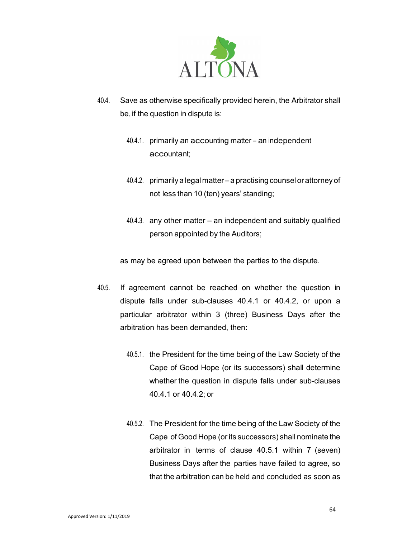

- 40.4. Save as otherwise specifically provided herein, the Arbitrator shall be, if the question in dispute is:
	- 40.4.1. primarily an accounting matter an independent accountant;
	- 40.4.2. primarily a legal matter a practising counsel or attorney of not less than 10 (ten) years' standing;
	- 40.4.3. any other matter an independent and suitably qualified person appointed by the Auditors;

as may be agreed upon between the parties to the dispute.

- 40.5. If agreement cannot be reached on whether the question in dispute falls under sub-clauses 40.4.1 or 40.4.2, or upon a particular arbitrator within 3 (three) Business Days after the arbitration has been demanded, then:
	- 40.5.1. the President for the time being of the Law Society of the Cape of Good Hope (or its successors) shall determine whether the question in dispute falls under sub-clauses 40.4.1 or 40.4.2; or
	- 40.5.2. The President for the time being of the Law Society of the Cape of Good Hope (or its successors) shall nominate the arbitrator in terms of clause 40.5.1 within 7 (seven) Business Days after the parties have failed to agree, so that the arbitration can be held and concluded as soon as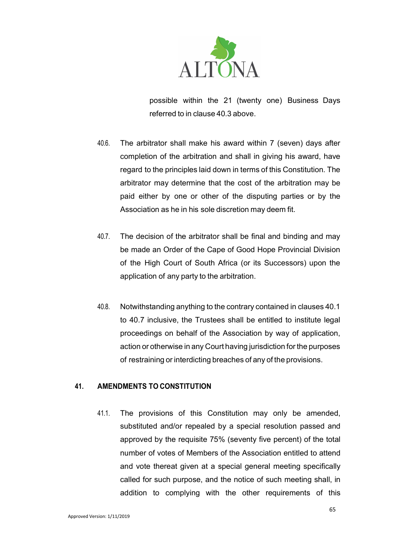

possible within the 21 (twenty one) Business Days referred to in clause 40.3 above.

- 40.6. The arbitrator shall make his award within 7 (seven) days after completion of the arbitration and shall in giving his award, have regard to the principles laid down in terms of this Constitution. The arbitrator may determine that the cost of the arbitration may be paid either by one or other of the disputing parties or by the Association as he in his sole discretion may deem fit.
- 40.7. The decision of the arbitrator shall be final and binding and may be made an Order of the Cape of Good Hope Provincial Division of the High Court of South Africa (or its Successors) upon the application of any party to the arbitration.
- 40.8. Notwithstanding anything to the contrary contained in clauses 40.1 to 40.7 inclusive, the Trustees shall be entitled to institute legal proceedings on behalf of the Association by way of application, action or otherwise in any Court having jurisdiction for the purposes of restraining or interdicting breaches of any of the provisions.

# 41. AMENDMENTS TO CONSTITUTION

41.1. The provisions of this Constitution may only be amended, substituted and/or repealed by a special resolution passed and approved by the requisite 75% (seventy five percent) of the total number of votes of Members of the Association entitled to attend and vote thereat given at a special general meeting specifically called for such purpose, and the notice of such meeting shall, in addition to complying with the other requirements of this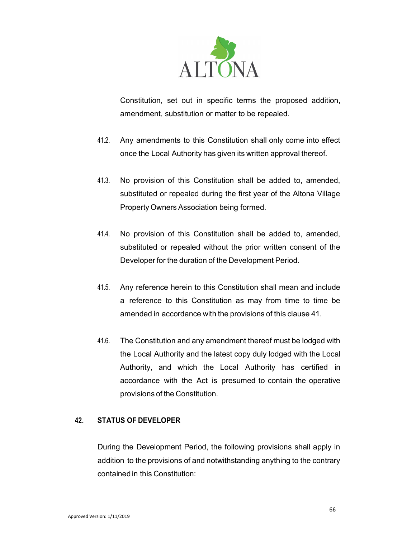

Constitution, set out in specific terms the proposed addition, amendment, substitution or matter to be repealed.

- 41.2. Any amendments to this Constitution shall only come into effect once the Local Authority has given its written approval thereof.
- 41.3. No provision of this Constitution shall be added to, amended, substituted or repealed during the first year of the Altona Village Property Owners Association being formed.
- 41.4. No provision of this Constitution shall be added to, amended, substituted or repealed without the prior written consent of the Developer for the duration of the Development Period.
- 41.5. Any reference herein to this Constitution shall mean and include a reference to this Constitution as may from time to time be amended in accordance with the provisions of this clause 41.
- 41.6. The Constitution and any amendment thereof must be lodged with the Local Authority and the latest copy duly lodged with the Local Authority, and which the Local Authority has certified in accordance with the Act is presumed to contain the operative provisions of the Constitution.

### 42. STATUS OF DEVELOPER

During the Development Period, the following provisions shall apply in addition to the provisions of and notwithstanding anything to the contrary contained in this Constitution: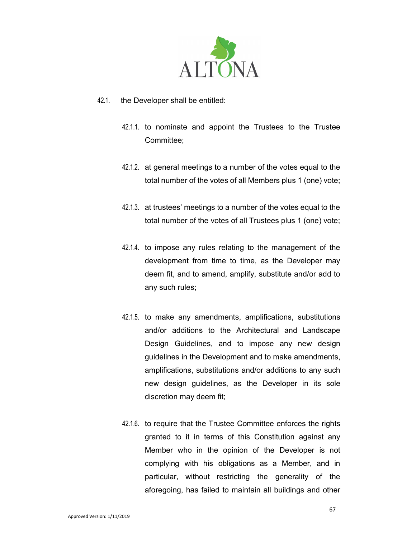

- 42.1. the Developer shall be entitled:
	- 42.1.1. to nominate and appoint the Trustees to the Trustee Committee;
	- 42.1.2. at general meetings to a number of the votes equal to the total number of the votes of all Members plus 1 (one) vote;
	- 42.1.3. at trustees' meetings to a number of the votes equal to the total number of the votes of all Trustees plus 1 (one) vote;
	- 42.1.4. to impose any rules relating to the management of the development from time to time, as the Developer may deem fit, and to amend, amplify, substitute and/or add to any such rules;
	- 42.1.5. to make any amendments, amplifications, substitutions and/or additions to the Architectural and Landscape Design Guidelines, and to impose any new design guidelines in the Development and to make amendments, amplifications, substitutions and/or additions to any such new design guidelines, as the Developer in its sole discretion may deem fit;
	- 42.1.6. to require that the Trustee Committee enforces the rights granted to it in terms of this Constitution against any Member who in the opinion of the Developer is not complying with his obligations as a Member, and in particular, without restricting the generality of the aforegoing, has failed to maintain all buildings and other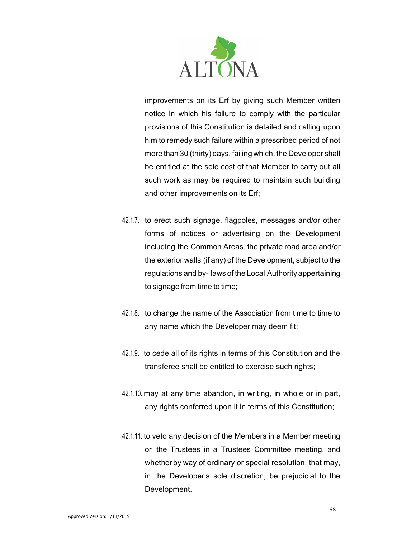

improvements on its Erf by giving such Member written notice in which his failure to comply with the particular provisions of this Constitution is detailed and calling upon him to remedy such failure within a prescribed period of not more than 30 (thirty) days, failing which, the Developer shall be entitled at the sole cost of that Member to carry out all such work as may be required to maintain such building and other improvements on its Erf;

- 42.1.7. to erect such signage, flagpoles, messages and/or other forms of notices or advertising on the Development including the Common Areas, the private road area and/or the exterior walls (if any) of the Development, subject to the regulations and by- laws of the Local Authority appertaining to signage from time to time;
- 42.1.8. to change the name of the Association from time to time to any name which the Developer may deem fit;
- 42.1.9. to cede all of its rights in terms of this Constitution and the transferee shall be entitled to exercise such rights;
- 42.1.10. may at any time abandon, in writing, in whole or in part, any rights conferred upon it in terms of this Constitution;
- 42.1.11. to veto any decision of the Members in a Member meeting or the Trustees in a Trustees Committee meeting, and whether by way of ordinary or special resolution, that may, in the Developer's sole discretion, be prejudicial to the Development.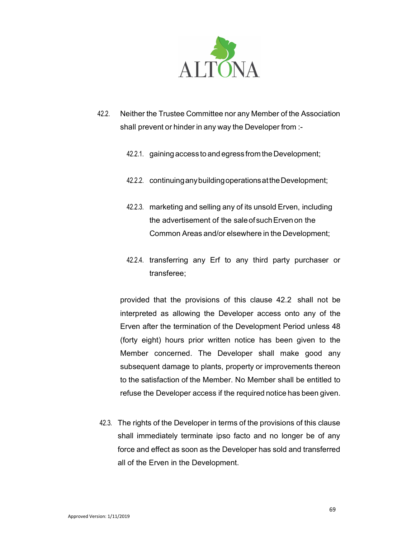

- 42.2. Neither the Trustee Committee nor any Member of the Association shall prevent or hinder in any way the Developer from :-
	- 42.2.1. gaining access to and egress from the Development;
	- 42.2.2. continuing any building operations at the Development;
	- 42.2.3. marketing and selling any of its unsold Erven, including the advertisement of the sale of such Erven on the Common Areas and/or elsewhere in the Development;
	- 42.2.4. transferring any Erf to any third party purchaser or transferee;

provided that the provisions of this clause 42.2 shall not be interpreted as allowing the Developer access onto any of the Erven after the termination of the Development Period unless 48 (forty eight) hours prior written notice has been given to the Member concerned. The Developer shall make good any subsequent damage to plants, property or improvements thereon to the satisfaction of the Member. No Member shall be entitled to refuse the Developer access if the required notice has been given.

42.3. The rights of the Developer in terms of the provisions of this clause shall immediately terminate ipso facto and no longer be of any force and effect as soon as the Developer has sold and transferred all of the Erven in the Development.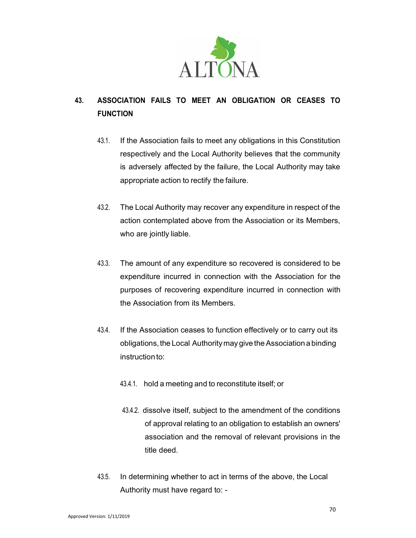

# 43. ASSOCIATION FAILS TO MEET AN OBLIGATION OR CEASES TO FUNCTION

- 43.1. If the Association fails to meet any obligations in this Constitution respectively and the Local Authority believes that the community is adversely affected by the failure, the Local Authority may take appropriate action to rectify the failure.
- 43.2. The Local Authority may recover any expenditure in respect of the action contemplated above from the Association or its Members, who are jointly liable.
- 43.3. The amount of any expenditure so recovered is considered to be expenditure incurred in connection with the Association for the purposes of recovering expenditure incurred in connection with the Association from its Members.
- 43.4. If the Association ceases to function effectively or to carry out its obligations, the Local Authority may give the Association a binding instruction to:
	- 43.4.1. hold a meeting and to reconstitute itself; or
	- 43.4.2. dissolve itself, subject to the amendment of the conditions of approval relating to an obligation to establish an owners' association and the removal of relevant provisions in the title deed.
- 43.5. In determining whether to act in terms of the above, the Local Authority must have regard to: -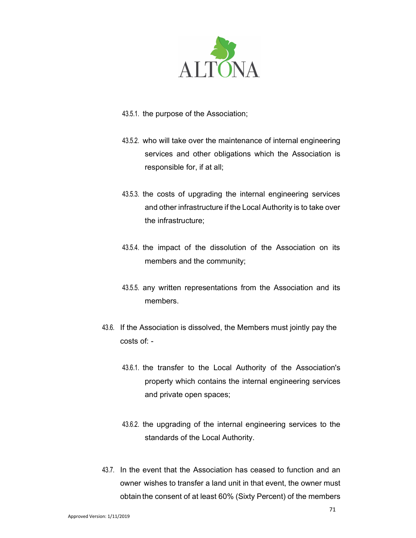

- 43.5.1. the purpose of the Association;
- 43.5.2. who will take over the maintenance of internal engineering services and other obligations which the Association is responsible for, if at all;
- 43.5.3. the costs of upgrading the internal engineering services and other infrastructure if the Local Authority is to take over the infrastructure;
- 43.5.4. the impact of the dissolution of the Association on its members and the community;
- 43.5.5. any written representations from the Association and its members.
- 43.6. If the Association is dissolved, the Members must jointly pay the costs of: -
	- 43.6.1. the transfer to the Local Authority of the Association's property which contains the internal engineering services and private open spaces;
	- 43.6.2. the upgrading of the internal engineering services to the standards of the Local Authority.
- 43.7. In the event that the Association has ceased to function and an owner wishes to transfer a land unit in that event, the owner must obtain the consent of at least 60% (Sixty Percent) of the members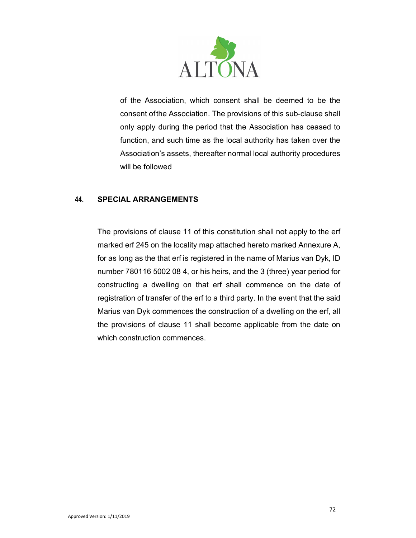

of the Association, which consent shall be deemed to be the consent of the Association. The provisions of this sub-clause shall only apply during the period that the Association has ceased to function, and such time as the local authority has taken over the Association's assets, thereafter normal local authority procedures will be followed

# 44. SPECIAL ARRANGEMENTS

The provisions of clause 11 of this constitution shall not apply to the erf marked erf 245 on the locality map attached hereto marked Annexure A, for as long as the that erf is registered in the name of Marius van Dyk, ID number 780116 5002 08 4, or his heirs, and the 3 (three) year period for constructing a dwelling on that erf shall commence on the date of registration of transfer of the erf to a third party. In the event that the said Marius van Dyk commences the construction of a dwelling on the erf, all the provisions of clause 11 shall become applicable from the date on which construction commences.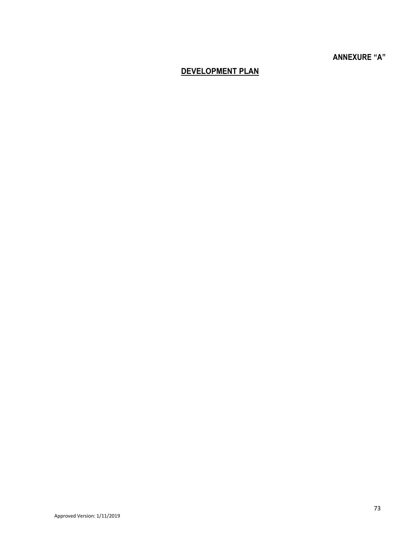## ANNEXURE "A"

## DEVELOPMENT PLAN